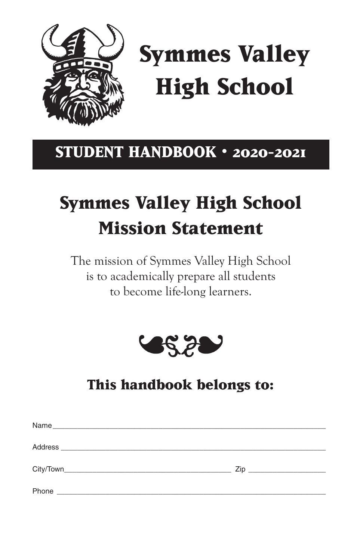

# **Symmes Valley High School**

## **STUDENT HANDBOOK • 2020-2021**

## **Symmes Valley High School Mission Statement**

The mission of Symmes Valley High School is to academically prepare all students to become life-long learners.



## **This handbook belongs to:**

| Name<br><u> 2000 - Jan Barnett, amerikan bestehen den antaren alderdi dalam personal dan bestehen dan besteht dan diseba</u> |  |
|------------------------------------------------------------------------------------------------------------------------------|--|
| Address                                                                                                                      |  |
|                                                                                                                              |  |
| Phone                                                                                                                        |  |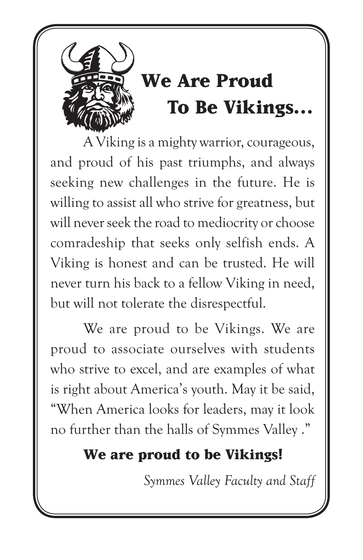

A Viking is a mighty warrior, courageous, and proud of his past triumphs, and always seeking new challenges in the future. He is willing to assist all who strive for greatness, but will never seek the road to mediocrity or choose comradeship that seeks only selfish ends. A Viking is honest and can be trusted. He will never turn his back to a fellow Viking in need, but will not tolerate the disrespectful.

We are proud to be Vikings. We are proud to associate ourselves with students who strive to excel, and are examples of what is right about America's youth. May it be said, "When America looks for leaders, may it look no further than the halls of Symmes Valley ."

## **We are proud to be Vikings!**

*Symmes Valley Faculty and Staff*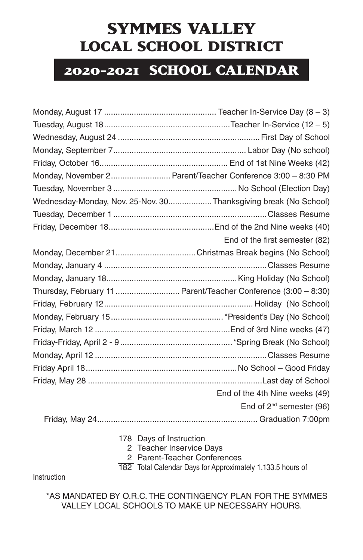### **SYMMES VALLEY LOCAL SCHOOL DISTRICT**

### **2020-2021 SCHOOL CALENDAR**

| Monday, November 2 Parent/Teacher Conference 3:00 - 8:30 PM     |
|-----------------------------------------------------------------|
|                                                                 |
| Wednesday-Monday, Nov. 25-Nov. 30Thanksgiving break (No School) |
|                                                                 |
|                                                                 |
| End of the first semester (82)                                  |
|                                                                 |
|                                                                 |
|                                                                 |
| Thursday, February 11  Parent/Teacher Conference (3:00 - 8:30)  |
|                                                                 |
|                                                                 |
|                                                                 |
|                                                                 |
|                                                                 |
|                                                                 |
|                                                                 |
| End of the 4th Nine weeks (49)                                  |
| End of 2 <sup>nd</sup> semester (96)                            |
|                                                                 |

- 178 Days of Instruction
	- 2 Teacher Inservice Days
	- 2 Parent-Teacher Conferences

182 Total Calendar Days for Approximately 1,133.5 hours of

Instruction

\*AS MANDATED BY O.R.C. THE CONTINGENCY PLAN FOR THE SYMMES VALLEY LOCAL SCHOOLS TO MAKE UP NECESSARY HOURS.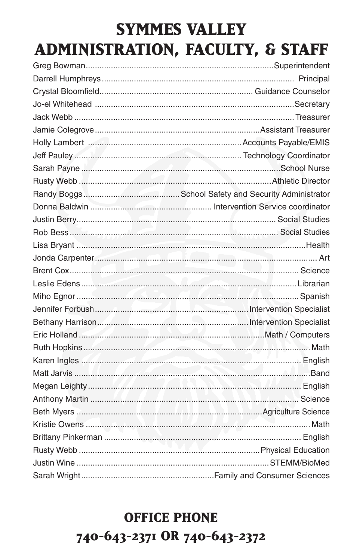## **SYMMES VALLEY** ADMINISTRATION, FACULTY, & STAFF

## **OFFICE PHONE** 740-643-2371 OR 740-643-2372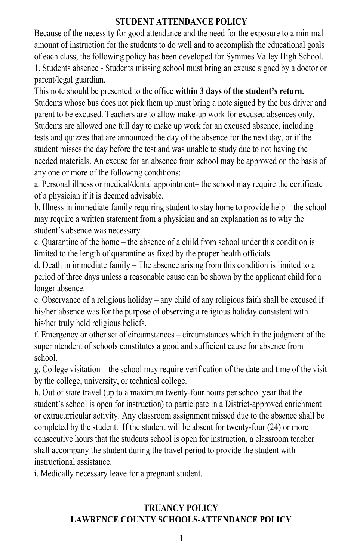#### **STUDENT ATTENDANCE POLICY**

Because of the necessity for good attendance and the need for the exposure to a minimal amount of instruction for the students to do well and to accomplish the educational goals of each class, the following policy has been developed for Symmes Valley High School. 1. Students absence - Students missing school must bring an excuse signed by a doctor or parent/legal guardian.

This note should be presented to the office **within 3 days of the student's return.** Students whose bus does not pick them up must bring a note signed by the bus driver and parent to be excused. Teachers are to allow make-up work for excused absences only. Indents are allowed one full day to make up work for an excused absence, including tests and quizzes that are announced the day of the absence for the next day, or if the student misses the day before the test and was unable to study due to not having the needed materials. An excuse for an absence from school may be approved on the basis of any one or more of the following conditions:

a. Personal illness or medical/dental appointment- the school may require the certificate of a physician if it is deemed advisable.

b. Illness in immediate family requiring student to stay home to provide help – the school may require a written statement from a physician and an explanation as to why the student's absence was necessary

c. Quarantine of the home – the absence of a child from school under this condition is limited to the length of quarantine as fixed by the proper health officials.

d. Death in immediate family – The absence arising from this condition is limited to a period of three days unless a reasonable cause can be shown by the applicant child for a longer absence.

e. Observance of a religious holiday – any child of any religious faith shall be excused if his/her absence was for the purpose of observing a religious holiday consistent with his/her truly held religious beliefs.

 $f$ . Emergency or other set of circumstances – circumstances which in the judgment of the superintendent of schools constitutes a good and sufficient cause for absence from school.  $\frac{1}{\epsilon}$  echool may require verification of the school may require verification of the visit of the visit of the visit of the visit of the visit of the visit of the visit of the visit of the visit of the visit of the vi

g. College visitation – the school may require verification of the date and time of the visit by the college, university, or technical college.

h. Out of state travel (up to a maximum twenty-four hours per school year that the student's school is open for instruction) to participate in a District-approved enrichment or extracurricular activity. Any classroom assignment missed due to the absence shall be completed by the student. If the student will be absent for twenty-four (24) or more consecutive hours that the students school is open for instruction, a classroom teacher shall accompany the student during the travel period to provide the student with instructional assistance.

i. Medically necessary leave for a pregnant student.

#### **TRUANCY POLICY LAWRENCE COUNTY SCHOOLS-ATTENDANCE POLICY**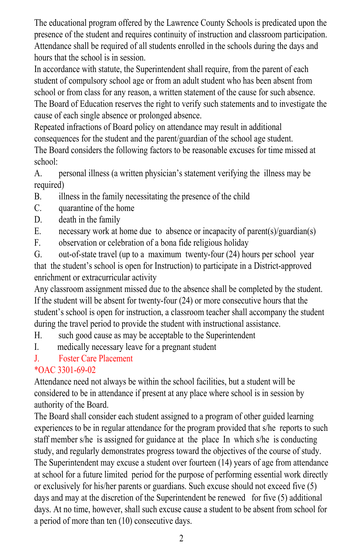The educational program offered by the Lawrence County Schools is predicated upon the presence of the student and requires continuity of instruction and classroom participation. Attendance shall be required of all students enrolled in the schools during the days and In accordance with statute of the statute, the statute, the statute, and statute shall required shall require

In accordance with statute, the Superintendent shall require, from the parent of each student of compulsory school age or from an adult student who has been absent from school or from class for any reason, a written statement of the cause for such absence. The Board of Education reserves the right to verify such statements and to investigate the expected to the contribution of the single internactions of Board policy of Board policy of Board policy of Board policy of Board policy of Board policy of Board policy of Board policy of Board policy of Board policy of Bo

consequences for the student and the process for the student and the student and the student and the student and the student and the student.  $\epsilon$  consequences for the student and the parent/guardian of the school age student.

The Board considers the following factors to be reasonable excuses for time missed at school: A. personal illness (a written physician's statement verifying the illness may be

A. personal illness (a written physician's statement verifying the illness may be  $\frac{1}{\sqrt{2}}$ required)  $A<sub>r</sub>$ 

- $B.$  illness in the family necessitating the presence of the child
- $C.$  quarantine of the home
- $D.$  necessary work at  $\frac{1}{2}$  and  $\frac{1}{2}$  and  $\frac{1}{2}$  are  $\frac{1}{2}$  and  $\frac{1}{2}$  are  $\frac{1}{2}$  and  $\frac{1}{2}$  are  $\frac{1}{2}$  and  $\frac{1}{2}$  and  $\frac{1}{2}$  are  $\frac{1}{2}$  and  $\frac{1}{2}$  and  $\frac{1}{2}$  are  $\frac{1}{2}$  and  $\$
- E. necessary work at home due to absence or incapacity of parent(s)/guardian(s)
- $F.$  observation or celebration of a bona fide religious holiday

G. out-of-state travel (up to a maximum twenty-four (24) hours per school year that the student's school is open for Instruction) to participate in a District-approved enrichment or extracurricular activity

Any classroom assignment missed due to the absence shall be completed by the student. If the student will be absent for twenty-four  $(24)$  or more consecutive hours that the student's school is open for instruction, a classroom teacher shall accompany the student  $\frac{d}{dx}$ during the travel period to provide the student with instructional assistance.

- H. such good cause as may be acceptable to the Superintendent
- I. Such good class as may be acceptance to the out-
- J. Foster Care Placement

### $*$ OAC 3301-69-02

Attendance need not always be within the school facilities, but a student will be considered to be in attendance if present at any place where school is in session by  $T_{\text{F}}$  authority of the Board.

matter for the Board shall consider each student assigned to a program of other guided learning experiences to be in regular attendance for the program provided that s/he reports to such experiences to be in regular attendance for the program provided that s/he reports to such staff member s/he is assigned for guidance at the place In which s/he is conducting staff member s/he is assigned for guidance at the place In which s/he is conducting. Superintendent may be also the Superintendent may experience in the process toward the objectives of the course of study. The Superintendent may excuse a student over fourteen  $(14)$  years of age from attendance at school for a future limited period for the purpose of performing essential work directly or exclusively for his/her parents or guardians. Such excuse should not exceed five (5) days and may at the discretion of the Superintendent be renewed for five  $(5)$  additional days. At no time, however, shall such excuse cause a student to be absent from school for a period of more than ten (10) consecutive days.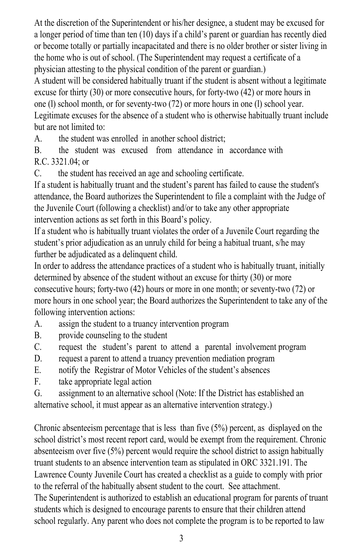At the discretion of the Superintendent or his/her designee, a student may be excused for a longer period of time than ten (10) days if a child's parent or guardian has recently died or become totally or partially incapacitated and there is no older brother or sister living in the home who is out of school. (The Superintendent may request a certificate of a not be considered the physical condition of the parent or guardian.)<br>physician attesting to the physical condition of the parent or guardian.)

A student will be considered habitually truant if the student is absent without a legitimate  $\epsilon$  school matrix and the consecutive hours in one consecutive hours, for forty-two (42) or more hours in one (30) or more consecutive hours, for forty-two (42) or more hours in  $\frac{1}{2}$  (1) school month, or for seventy-two (72) or more hours in one (1) school year. Legitimate excuses for the absence of a student who is otherwise habitually truant include but are not limited to:

A. the student was enrolled in another school district;

B. the student was excused from attendance in accordance with P.C. 3321.04; or

 $\text{C.}$  the student has received an age and schooling certificate.

If a student is habitually truant and the student's parent has failed to cause the student's attendance, the Board authorizes the Superintendent to file a complaint with the Judge of the Juvenile Court (following a checklist) and/or to take any other appropriate<br>the Juvenile Court (following a checklist) and/or to take any other appropriate If the calculation of the order of a student who is habitually true to the order of  $\mu$ .

If a student who is habitually truant violates the order of a Juvenile Court regarding the student's prior adjudication as an unruly child for being a habitual truant, s/he may Further be adjudicated as a delinquent child.

In order to address the attendance practices of a student who is habitually truant, initially determined by absence of the student without an excuse for thirty (30) or more consecutive hours; forty-two  $(42)$  hours or more in one month; or seventy-two  $(72)$  or more hours in one school year; the Board authorizes the Superintendent to take any of the  $\frac{1}{2}$ following intervention actions:

- A. assign the student to a truancy intervention program
- E. a countries the student of a mail of measurement program.
- externation contacting to the station.<br>
D. request the student's parent to attend a parental involvement program
- D. request a parent to attend a truancy prevention mediation program
- E. notify the Registrar of Motor Vehicles of the student's absences
- F. take appropriate legal action
- G. assignment to an alternative school (Note: If the District has established an

alternative school, it must appear as an alternative intervention strategy.)

Chronic absenteeism percentage that is less than five  $(5%)$  percent, as displayed on the school district's most recent report card, would be exempt from the requirement. Chronic absenteeism over five (5%) percent would require the school district to assign habitually truant students to an absence intervention team as stipulated in ORC 3321.191. The Lawrence County Juvenile Court has created a checklist as a guide to comply with prior The referral of the habitually absent student to the court. See attachment. The Superintendent is authorized to establish an educational program for parents of truant students which is designed to encourage parents to ensure that their children attend<br>students which is designed to encourage parents to ensure that their children attend school regularly. Any parent who does not complete the program is to be reported to law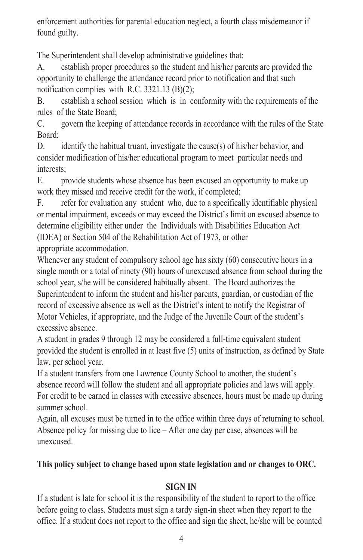enforcement authorities for parental education neglect, a fourth class misdemeanor if enforcement authorities for parental education neglect, a fourth class misdemeanor if found guilty. found guilty.

The Superintendent shall develop administrative guidelines that: The Superintendent shall develop administrative guidelines that:

A. establish proper procedures so the student and his/her parents are provided the A. establish proper procedures so the student and his/her parents are provided the opportunity to challenge the attendance record prior to notification and that such opportunity to challenge the attendance record prior to notification and that such notification complies with R.C. 3321.13  $(B)(2)$ ;

B. establish a school session which is in conformity with the requirements of the B. establish a school session which is in conformity with the requirements of the rules of the State Board; rules of the State Board;

C. govern the keeping of attendance records in accordance with the rules of the State C. govern the keeping of attendance records in accordance with the rules of the State Board; Board;

D. identify the habitual truant, investigate the cause(s) of his/her behavior, and consider modification of his/her educational program to meet particular needs and interests; interests;

E. provide students whose absence has been excused an opportunity to make up E. provide students whose absence has been excused an opportunity to make up work they missed and receive credit for the work, if completed; work they missed and receive credit for the work, if completed;

F. refer for evaluation any student who, due to a specifically identifiable physical F. refer for evaluation any student who, due to a specifically identifiable physical or mental impairment, exceeds or may exceed the District's limit on excused absence to or mental impairment, exceeds or may exceed the District's limit on excused absence to determine eligibility either under the Individuals with Disabilities Education Act determine eligibility either under the Individuals with Disabilities Education Act (IDEA) or Section 504 of the Rehabilitation Act of 1973, or other (IDEA) or Section 504 of the Rehabilitation Act of 1973, or other appropriate accommodation. appropriate accommodation.

Whenever any student of compulsory school age has sixty (60) consecutive hours in a Whenever any student of compulsory school age has sixty (60) consecutive hours in a single month or a total of ninety (90) hours of unexcused absence from school during the single month or a total of ninety (90) hours of unexcused absence from school during the school year, s/he will be considered habitually absent. The Board authorizes the school year, s/he will be considered habitually absent. The Board authorizes the Superintendent to inform the student and his/her parents, guardian, or custodian of the Superintendent to inform the student and his/her parents, guardian, or custodian of the record of excessive absence as well as the District's intent to notify the Registrar of record of excessive absence as well as the District's intent to notify the Registrar of Motor Vehicles, if appropriate, and the Judge of the Juvenile Court of the student's Motor Vehicles, if appropriate, and the Judge of the Juvenile Court of the student's excessive absence. excessive absence.

A student in grades 9 through 12 may be considered a full-time equivalent student A student in grades 9 through 12 may be considered a full-time equivalent student provided the student is enrolled in at least five (5) units of instruction, as defined by State provided the student is enrolled in at least five (5) units of instruction, as defined by State law, per school year. law, per school year.

If a student transfers from one Lawrence County School to another, the student's If a student transfers from one Lawrence County School to another, the student's absence record will follow the student and all appropriate policies and laws will apply. absence record will follow the student and all appropriate policies and laws will apply. For credit to be earned in classes with excessive absences, hours must be made up during For credit to be earned in classes with excessive absences, hours must be made up during summer school. summer school.

Again, all excuses must be turned in to the office within three days of returning to school. Again, all excuses must be turned in to the office within three days of returning to school. Absence policy for missing due to lice – After one day per case, absences will be Absence policy for missing due to lice – After one day per case, absences will be unexcused. unexcused.

#### **This policy subject to change based upon state legislation and or changes to ORC. This policy subject to change based upon state legislation and or changes to ORC.**

#### **SIGN IN SIGN IN**

If a student is late for school it is the responsibility of the student to report to the office If a student is late for school it is the responsibility of the student to report to the office before going to class. Students must sign a tardy sign-in sheet when they report to the before going to class. Students must sign a tardy sign-in sheet when they report to the office. If a student does not report to the office and sign the sheet, he/she will be counted office. If a student does not report to the office and sign the sheet, he/she will be counted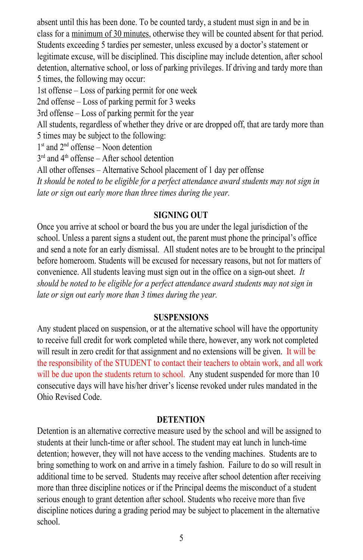absent until this has been done. To be counted tardy, a student must sign in and be in absent until this has been done. To be counted tardy, a student must sign in and be in class for a minimum of 30 minutes, otherwise they will be counted absent for that period. class for a minimum of 30 minutes, otherwise they will be counted absent for that period. Students exceeding 5 tardies per semester, unless excused by a doctor's statement or Students exceeding 5 tardies per semester, unless excused by a doctor's statement or legitimate excuse, will be disciplined. This discipline may include detention, after school legitimate excuse, will be disciplined. This discipline may include detention, after school detention, alternative school, or loss of parking privileges. If driving and tardy more than detention, alternative school, or loss of parking privileges. If driving and tardy more than 5 times, the following may occur: 5 times, the following may occur:

1st offense – Loss of parking permit for one week 1st offense – Loss of parking permit for one week

2nd offense – Loss of parking permit for 3 weeks 2nd offense – Loss of parking permit for 3 weeks

3rd offense – Loss of parking permit for the year 3rd offense – Loss of parking permit for the year

All students, regardless of whether they drive or are dropped off, that are tardy more than All students, regardless of whether they drive or are dropped off, that are tardy more than 5 times may be subject to the following: 5 times may be subject to the following:

 $1<sup>st</sup>$  and  $2<sup>nd</sup>$  offense – Noon detention

 $3<sup>rd</sup>$  and  $4<sup>th</sup>$  offense – After school detention

All other offenses – Alternative School placement of 1 day per offense All other offenses – Alternative School placement of 1 day per offense

*It should be noted to be eligible for a perfect attendance award students may not sign in It should be noted to be eligible for a perfect attendance award students may not sign in late or sign out early more than three times during the year. late or sign out early more than three times during the year.*

### **SIGNING OUT SIGNING OUT**

Once you arrive at school or board the bus you are under the legal jurisdiction of the Once you arrive at school or board the bus you are under the legal jurisdiction of the school. Unless a parent signs a student out, the parent must phone the principal's office school. Unless a parent signs a student out, the parent must phone the principal's office and send a note for an early dismissal. All student notes are to be brought to the principal and send a note for an early dismissal. All student notes are to be brought to the principal before homeroom. Students will be excused for necessary reasons, but not for matters of before homeroom. Students will be excused for necessary reasons, but not for matters of convenience. All students leaving must sign out in the office on a sign-out sheet. *It* convenience. All students leaving must sign out in the office on a sign-out sheet. *It should be noted to be eligible for a perfect attendance award students may not sign in should be noted to be eligible for a perfect attendance award students may not sign in late or sign out early more than 3 times during the year. late or sign out early more than 3 times during the year.*

### **SUSPENSIONS SUSPENSIONS**

Any student placed on suspension, or at the alternative school will have the opportunity Any student placed on suspension, or at the alternative school will have the opportunity to receive full credit for work completed while there, however, any work not completed to receive full credit for work completed while there, however, any work not completed will result in zero credit for that assignment and no extensions will be given. It will be will be given. the responsibility of the STUDENT to contact their teachers to obtain work, and all work the responsibility of the STUDENT to contact their teachers to obtain work, and all work will be due upon the students return to school. Any student suspended for more than 10 which due also have his alternative days will have his/her driver's license revoked under rules mandated in the Ohio Revised Code. Ohio Revised Code.

### **DETENTION DETENTION**

Detention is an alternative corrective measure used by the school and will be assigned to Detention is an alternative corrective measure used by the school and will be assigned to students at their lunch-time or after school. The student may eat lunch in lunch-time students at their lunch-time or after school. The student may eat lunch in lunch-time detention; however, they will not have access to the vending machines. Students are to detention; however, they will not have access to the vending machines. Students are to bring something to work on and arrive in a timely fashion. Failure to do so will result in bring something to work on and arrive in a timely fashion. Failure to do so will result in additional time to be served. Students may receive after school detention after receiving additional time to be served. Students may receive after school detention after receiving more than three discipline notices or if the Principal deems the misconduct of a student more than three discipline notices or if the Principal deems the misconduct of a student serious enough to grant detention after school. Students who receive more than five serious enough to grant detention after school. Students who receive more than five discipline notices during a grading period may be subject to placement in the alternative discipline notices during a grading period may be subject to placement in the alternative school. school.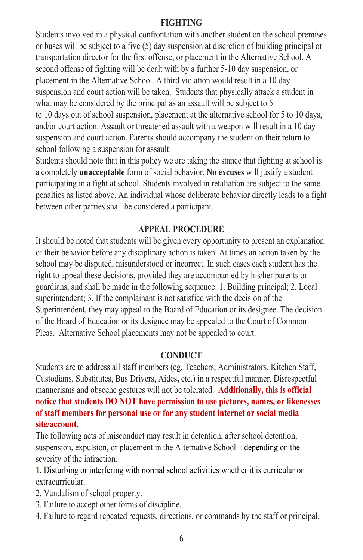#### **FIGHTING FIGHTING**

Students involved in a physical confrontation with another student on the school premises Students involved in a physical confrontation with another student on the school premises or buses will be subject to a five (5) day suspension at discretion of building principal or or buses will be subject to a five (5) day suspension at discretion of building principal or transportation director for the first offense, or placement in the Alternative School. A transportation director for the first offense, or placement in the Alternative School. A second offense of fighting will be dealt with by a further 5-10 day suspension, or second offense of fighting will be dealt with by a further 5-10 day suspension, or placement in the Alternative School. A third violation would result in a 10 day placement in the Alternative School. A third violation would result in a 10 day suspension and court action will be taken. Students that physically attack a student in suspension and court action will be taken. Students that physically attack a student in what may be considered by the principal as an assault will be subject to 5 what may be considered by the principal as an assault will be subject to 5 to 10 days out of school suspension, placement at the alternative school for 5 to 10 days, and/or court action. Assault or threatened assault with a weapon will result in a 10 day and/or court action. Assault or threatened assault with a weapon will result in a 10 day suspension and court action. Parents should accompany the student on their return to suspension and court action. Parents should accompany the student on their return to school following a suspension for assault.

school following a suspension for assault.<br>Students should note that in this policy we are taking the stance that fighting at school is a completely **unacceptable** form of social behavior. **No excuses** will justify a student a completely **unacceptable** form of social behavior. No excuses will justify a student<br>participating in a fight at school. Students involved in retaliation are subject to the same penalties as listed above. An individual whose deliberate behavior directly leads to a fight<br>between other parties shall be considered a participant. between other parties shall be considered a participant.

#### **APPEAL PROCEDURE APPEAL PROCEDURE**

It should be noted that students will be given every opportunity to present an explanation It should be noted that students will be given every opportunity to present an explanation of their behavior before any disciplinary action is taken. At times an action taken by the of their behavior before any disciplinary action is taken. At times an action taken by the school may be disputed, misunderstood or incorrect. In such cases each student has the school may be disputed, misunderstood or incorrect. In such cases each student has the right to appeal these decisions, provided they are accompanied by his/her parents or right to appeal these decisions, provided they are accompanied by his/her parents or guardians, and shall be made in the following sequence: 1. Building principal; 2. Local guardians, and shall be made in the following sequence: 1. Building principal; 2. Local superintendent; 3. If the complainant is not satisfied with the decision of the Superintendent, they may appeal to the Board of Education or its designee. The decision Superintendent, they may appeal to the Board of Education or its designee. The decision of the Board of Education or its designee may be appealed to the Court of Common<br>Pleas. Alternative School placements may not be appealed to court. Pleas. Alternative School placements may not be appealed to court.

#### **CONDUCT CONDUCT**

Students are to address all staff members (eg. Teachers, Administrators, Kitchen Staff, Students are to address all staff members (eg. Teachers, Administrators, Kitchen Staff,<br>Custodians, Substitutes, Bus Drivers, Aides, etc.) in a respectful manner. Disrespectful mannerisms and obscene gestures will not be tolerated. **Additionally, this is official** mannerisms and obscene gestures will not be tolerated. **Additionally, this is official notice that students DO NOT have permission to use pictures, names, or likenesses notice that students DO NOT have permission to use pictures, names, or likenesses of staff members for personal use or for any student internet or social media of staff members for personal use or for any student internet or social media site/account. site/account.**

The following acts of misconduct may result in detention, after school detention, The following acts of misconduct may result in detention, after school detention, suspension, expulsion, or placement in the Alternative School **–** depending on the suspension, expulsion, or placement in the Alternative School **–** depending on the severity of the infraction. severity of the infraction.

**1**. Disturbing or interfering with normal school activities whether it is curricular or **1** extracurricular. extracurricular.

2. Vandalism of school property.

- 3. Failure to accept other forms of discipline. 2. Vandalism of school property.3. Failure to accept other forms of discipline.
- 4. Failure to regard repeated requests, directions, or commands by the staff or principal. 4. Failure to regard repeated requests, directions, or commands by the staff or principal.6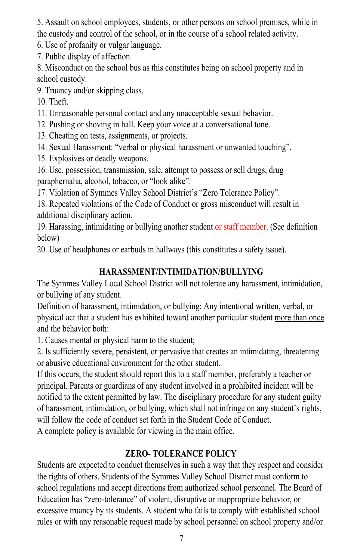5. Assault on school employees, students, or other persons on school premises, while in 5. Assault on school employees, students, or other persons on school premises, while in the custody and control of the school, or in the course of a school related activity. the custody and control of the school, or in the course of a school related activity.

6. Use of profanity or vulgar language. 6. Use of profanity or vulgar language.

7. Public display of affection. 7. Public display of affection.

8. Misconduct on the school bus as this constitutes being on school property and in 8. Misconduct on the school bus as this constitutes being on school property and in school custody. school custody.

9. Truancy and/or skipping class. 9. Truancy and/or skipping class.

10. Theft. 10. Theft.

11. Unreasonable personal contact and any unacceptable sexual behavior. 11. Unreasonable personal contact and any unacceptable sexual behavior.

12. Pushing or shoving in hall. Keep your voice at a conversational tone. 12. Pushing or shoving in hall. Keep your voice at a conversational tone.

13. Cheating on tests, assignments, or projects. 13. Cheating on tests, assignments, or projects.

14. Sexual Harassment: "verbal or physical harassment or unwanted touching". 14. Sexual Harassment: "verbal or physical harassment or unwanted touching".

15. Explosives or deadly weapons. 15. Explosives or deadly weapons.

16. Use, possession, transmission, sale, attempt to possess or sell drugs, drug 16. Use, possession, transmission, sale, attempt to possess or sell drugs, drug paraphernalia, alcohol, tobacco, or "look alike". paraphernalia, alcohol, tobacco, or "look alike".

17. Violation of Symmes Valley School District's "Zero Tolerance Policy". 17. Violation of Symmes Valley School District's "Zero Tolerance Policy".

18. Repeated violations of the Code of Conduct or gross misconduct will result in 18. Repeated violations of the Code of Conduct or gross misconduct will result in additional disciplinary action. additional disciplinary action.

19. Harassing, intimidating or bullying another student or staff member. (See definition 19. Harassing, intimidating or bullying another student or staff member. (See definition below) below)

20. Use of headphones or earbuds in hallways (this constitutes a safety issue). 20. Use of headphones or earbuds in hallways (this constitutes a safety issue).

### **HARASSMENT/INTIMIDATION/BULLYING HARASSMENT/INTIMIDATION/BULLYING**

The Symmes Valley Local School District will not tolerate any harassment, intimidation, The Symmes Valley Local School District will not tolerate any harassment, intimidation, or bullying of any student. or bullying of any student.

Definition of harassment, intimidation, or bullying: Any intentional written, verbal, or Definition of harassment, intimidation, or bullying: Any intentional written, verbal, or physical act that a student has exhibited toward another particular student more than once and the behavior both: and the behavior both:

1. Causes mental or physical harm to the student; 1. Causes mental or physical harm to the student;

2. Is sufficiently severe, persistent, or pervasive that creates an intimidating, threatening 2. Is sufficiently severe, persistent, or pervasive that creates an intimidating, threatening or abusive educational environment for the other student. or abusive educational environment for the other student.

If this occurs, the student should report this to a staff member, preferably a teacher or If this occurs, the student should report this to a staff member, preferably a teacher or principal. Parents or guardians of any student involved in a prohibited incident will be principal. Parents or guardians of any student involved in a prohibited incident will be notified to the extent permitted by law. The disciplinary procedure for any student guilty notified to the extent permitted by law. The disciplinary procedure for any student guilty of harassment, intimidation, or bullying, which shall not infringe on any student's rights, of harassment, intimidation, or bullying, which shall not infringe on any student's rights, will follow the code of conduct set forth in the Student Code of Conduct. will follow the code of conduct set forth in the Student Code of Conduct. A complete policy is available for viewing in the main office. A complete policy is available for viewing in the main office.

### **ZERO- TOLERANCE POLICY ZERO- TOLERANCE POLICY**

Students are expected to conduct themselves in such a way that they respect and consider Students are expected to conduct themselves in such a way that they respect and consider the rights of others. Students of the Symmes Valley School District must conform to the rights of others. Students of the Symmes Valley School District must conform to school regulations and accept directions from authorized school personnel. The Board of school regulations and accept directions from authorized school personnel. The Board of Education has "zero-tolerance" of violent, disruptive or inappropriate behavior, or Education has "zero-tolerance" of violent, disruptive or inappropriate behavior, or excessive truancy by its students. A student who fails to comply with established school rules or with any reasonable request made by school personnel on school property and/or rules or with any reasonable request made by school personnel on school property and/or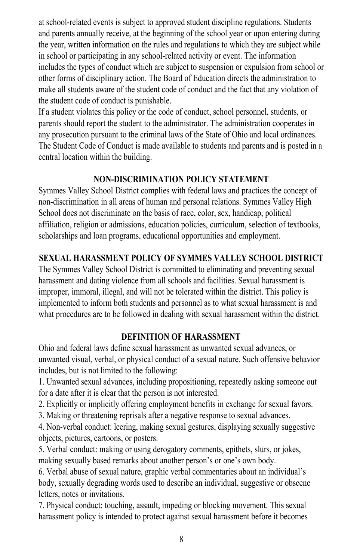at school-related events is subject to approved student discipline regulations. Students and parents annually receive, at the beginning of the school year or upon entering during the year, written information on the rules and regulations to which they are subject while in school or participating in any school-related activity or event. The information includes the types of conduct which are subject to suspension or expulsion from school or other forms of disciplinary action. The Board of Education directs the administration to make all students aware of the student code of conduct and the fact that any violation of the student code of conduct is punishable. at school-related events is subject to approved student discipline regulations. Students<br>and parents annually receive, at the beginning of the school year or upon entering during<br>the year, written information on the rules

If a student violates this policy or the code of conduct, school personnel, students, or parents should report the student to the administrator. The administration cooperates in any prosecution pursuant to the criminal laws of the State of Ohio and local ordinances. The Student Code of Conduct is made available to students and parents and is posted in a central location within the building.

#### **NON-DISCRIMINATION POLICY STATEMENT**

Symmes Valley School District complies with federal laws and practices the concept of non-discrimination in all areas of human and personal relations. Symmes Valley High School does not discriminate on the basis of race, color, sex, handicap, political affiliation, religion or admissions, education policies, curriculum, selection of textbooks, scholarships and loan programs, educational opportunities and employment.

#### **SEXUAL HARASSMENT POLICY OF SYMMES VALLEY SCHOOL DISTRICT**

The Symmes Valley School District is committed to eliminating and preventing sexual harassment and dating violence from all schools and facilities. Sexual harassment is improper, immoral, illegal, and will not be tolerated within the district. This policy is implemented to inform both students and personnel as to what sexual harassment is and what procedures are to be followed in dealing with sexual harassment within the district.

#### **DEFINITION OF HARASSMENT**

Ohio and federal laws define sexual harassment as unwanted sexual advances, or unwanted visual, verbal, or physical conduct of a sexual nature. Such offensive behavior includes, but is not limited to the following:

1. Unwanted sexual advances, including propositioning, repeatedly asking someone out for a date after it is clear that the person is not interested.

2. Explicitly or implicitly offering employment benefits in exchange for sexual favors. 2. Explicitly or implicitly offering employment benefits in exchange for sexual favors.

3. Making or threatening reprisals after a negative response to sexual advances.

4. Non-verbal conduct: leering, making sexual gestures, displaying sexually suggestive objects, pictures, cartoons, or posters.

5. Verbal conduct: making or using derogatory comments, epithets, slurs, or jokes, making sexually based remarks about another person's or one's own body.

6. Verbal abuse of sexual nature, graphic verbal commentaries about an individual's body, sexually degrading words used to describe an individual, suggestive or obscene body, sexually degrading words used to describe an individual, suggestive or obsceneletters, notes or invitations.

7. Physical conduct: touching, assault, impeding or blocking movement. This sexual harassment policy is intended to protect against sexual harassment before it becomes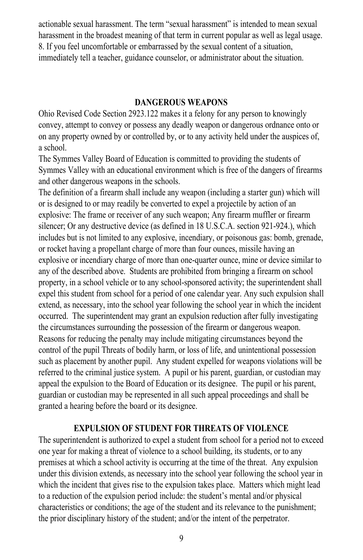actionable sexual harassment. The term "sexual harassment" is intended to mean sexual actionable sexual harassment. The term "sexual harassment" is intended to mean sexual harassment in the broadest meaning of that term in current popular as well as legal usage. harassment in the broadest meaning of that term in current popular as well as legal usage. 8. If you feel uncomfortable or embarrassed by the sexual content of a situation, 8. If you feel uncomfortable or embarrassed by the sexual content of a situation, immediately tell a teacher, guidance counselor, or administrator about the situation. immediately tell a teacher, guidance counselor, or administrator about the situation.

#### **DANGEROUS WEAPONS DANGEROUS WEAPONS**

Ohio Revised Code Section 2923.122 makes it a felony for any person to knowingly Ohio Revised Code Section 2923.122 makes it a felony for any person to knowingly convey, attempt to convey or possess any deadly weapon or dangerous ordnance onto or convey, attempt to convey or possess any deadly weapon or dangerous ordnance onto or on any property owned by or controlled by, or to any activity held under the auspices of, a school. a school.

The Symmes Valley Board of Education is committed to providing the students of The Symmes Valley Board of Education is committed to providing the students of Symmes Valley with an educational environment which is free of the dangers of firearms Symmes Valley with an educational environment which is free of the dangers of firearms and other dangerous weapons in the schools. and other dangerous weapons in the schools.

The definition of a firearm shall include any weapon (including a starter gun) which will The definition of a firearm shall include any weapon (including a starter gun) which will or is designed to or may readily be converted to expel a projectile by action of an explosive: The frame or receiver of any such weapon; Any firearm muffler or firearm explosive: The frame or receiver of any such weapon; Any firearm muffler or firearm silencer; Or any destructive device (as defined in 18 U.S.C.A. section 921-924.), which silencer; Or any destructive device (as defined in 18 U.S.C.A. section 921-924.), which includes but is not limited to any explosive, incendiary, or poisonous gas: bomb, grenade, includes but is not limited to any explosive, incendiary, or poisonous gas: bomb, grenade, or rocket having a propellant charge of more than four ounces, missile having an explosive or incendiary charge of more than one-quarter ounce, mine or device similar to any of the described above. Students are prohibited from bringing a firearm on school any of the described above. Students are prohibited from bringing a firearm on school property, in a school vehicle or to any school-sponsored activity; the superintendent shall property, in a school vehicle or to any school-sponsored activity; the superintendent shall expel this student from school for a period of one calendar year. Any such expulsion shall expel this student from school for a period of one calendar year. Any such expulsion shall extend, as necessary, into the school year following the school year in which the incident occurred. The superintendent may grant an expulsion reduction after fully investigating occurred. The superintendent may grant an expulsion reduction after fully investigating the circumstances surrounding the possession of the firearm or dangerous weapon. the circumstances surrounding the possession of the firearm or dangerous weapon. Reasons for reducing the penalty may include mitigating circumstances beyond the Reasons for reducing the penalty may include mitigating circumstances beyond the control of the pupil Threats of bodily harm, or loss of life, and unintentional possession control of the pupil Threats of bodily harm, or loss of life, and unintentional possession such as placement by another pupil. Any student expelled for weapons violations will be referred to the criminal justice system. A pupil or his parent, guardian, or custodian may referred to the criminal justice system. A pupil or his parent, guardian, or custodian may appeal the expulsion to the Board of Education or its designee. The pupil or his parent, appeal the expulsion to the Board of Education or its designee. The pupil or his parent, guardian or custodian may be represented in all such appeal proceedings and shall be guardian or custodian may be represented in all such appeal proceedings and shall be granted a hearing before the board or its designee. granted a hearing before the board or its designee.

#### **EXPULSION OF STUDENT FOR THREATS OF VIOLENCE EXPULSION OF STUDENT FOR THREATS OF VIOLENCE**

The superintendent is authorized to expel a student from school for a period not to exceed The superintendent is authorized to expel a student from school for a period not to exceed one year for making a threat of violence to a school building, its students, or to any one year for making a threat of violence to a school building, its students, or to any premises at which a school activity is occurring at the time of the threat. Any expulsion premises at which a school activity is occurring at the time of the threat. Any expulsion under this division extends, as necessary into the school year following the school year in under this division extends, as necessary into the school year following the school year in which the incident that gives rise to the expulsion takes place. Matters which might lead to a reduction of the expulsion period include: the student's mental and/or physical to a reduction of the expulsion period include: the student's mental and/or physical characteristics or conditions; the age of the student and its relevance to the punishment; the prior disciplinary history of the student; and/or the intent of the perpetrator.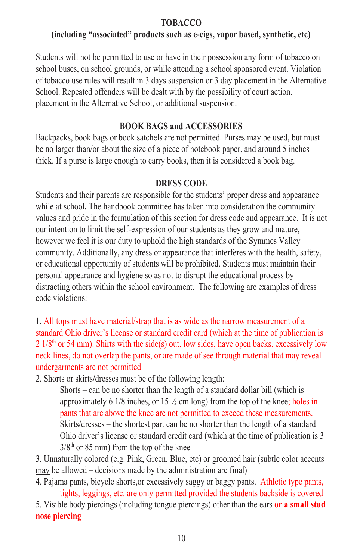#### **TOBACCO TOBACCO**

#### **(including "associated" products such as e-cigs, vapor based, synthetic, etc)**

Students will not be permitted to use or have in their possession any form of tobacco on school buses, on school grounds, or while attending a school sponsored event. Violation school buses, on school grounds, or while attending a school sponsored event. Violation of tobacco use rules will result in 3 days suspension or 3 day placement in the Alternative School. Repeated offenders will be dealt with by the possibility of court action, School. Repeated offenders will be dealt with by the possibility of court action, placement in the Alternative School, or additional suspension.

#### **BOOK BAGS and ACCESSORIES**

Backpacks, book bags or book satchels are not permitted. Purses may be used, but must Backpacks, book bags or book satchels are not permitted. Purses may be used, but must be no larger than/or about the size of a piece of notebook paper, and around 5 inches be no larger than/or about the size of a piece of notebook paper, and around 5 inches<br>thick. If a purse is large enough to carry books, then it is considered a book bag.

#### **DRESS CODE**

Students and their parents are responsible for the students' proper dress and appearance while at school**.** The handbook committee has taken into consideration the community values and pride in the formulation of this section for dress code and appearance. It is not our intention to limit the self-expression of our students as they grow and mature, however we feel it is our duty to uphold the high standards of the Symmes Valley however we feel it is our duty to uphold the high standards of the Symmes Valley community. Additionally, any dress or appearance that interferes with the health, safety, or educational opportunity of students will be prohibited. Students must maintain their or educational opportunity of students will be prohibited. Students must maintain their personal appearance and hygiene so as not to disrupt the educational process by distracting others within the school environment. The following are examples of dress distracting others within the school environment. The following are examples of dress code violations: Students and their parents are responsible for the students' proper dress and appearance while at school. The handbook committee has taken into consideration the community values and pride in the formulation of this sectio

1. All tops must have material/strap that is as wide as the narrow measurement of a 1. All tops must have material/strap that is as wide as the narrow measurement of a standard Ohio driver's license or standard credit card (which at the time of publication is  $2 \frac{1}{8^{\text{th}}}$  or 54 mm). Shirts with the side(s) out, low sides, have open backs, excessively low neck lines, do not overlap the pants, or are made of see through material that may reveal undergarments are not permitted

2. Shorts or skirts**/**dresses must be of the following length:

undergarments are not permitted<br>
2. Shorts or skirts/dresses must be of the following length:<br>
Shorts – can be no shorter than the length of a standard dollar bill (which is approximately 6 1/8 inches, or 15 ½ cm long) from the top of the knee; holes in pants that are above the knee are not permitted to exceed these measurements. pants that are above the knee are not permitted to exceed these measurements. Skirts/dresses – the shortest part can be no shorter than the length of a standard Ohio driver's license or standard credit card (which at the time of publication is 3 Ohio driver's license or standard credit card (which at the time of publication is 3  $3/8<sup>th</sup>$  or 85 mm) from the top of the knee

3. Unnaturally colored (e.g. Pink, Green, Blue, etc) or groomed hair (subtle color accents 3. Unnaturally colored (e.g. Pink, Green, Blue, etc) or groomed hair (subtle color accents may be allowed – decisions made by the administration are final)

4. Pajama pants, bicycle shorts,or excessively saggy or baggy pants. Athletic type pants, 4. Pajama pants, bicycle shorts,or excessively saggy or baggy pants. Athletic type pants, tights, leggings, etc. are only permitted provided the students backside is covered

tights, leggings, etc. are only permitted provided the students backside is covered<br>5. Visible body piercings (including tongue piercings) other than the ears **or a small stud nose piercing nose piercing**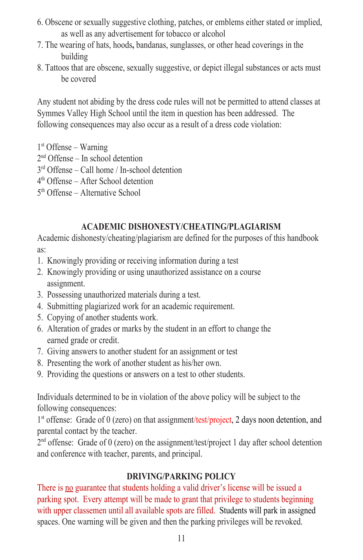- 6. Obscene or sexually suggestive clothing, patches, or emblems either stated or implied, 6. Obscene or sexually suggestive clothing, patches, or emblems either stated or implied, as well as any advertisement for tobacco or alcohol as well as any advertisement for tobacco or alcohol
- 7. The wearing of hats, hoods**,** bandanas, sunglasses, or other head coverings in the 7. The wearing of hats, hoods**,** bandanas, sunglasses, or other head coverings in the building building
- 8. Tattoos that are obscene, sexually suggestive, or depict illegal substances or acts must 8. Tattoos that are obscene, sexually suggestive, or depict illegal substances or acts must be covered be covered

Any student not abiding by the dress code rules will not be permitted to attend classes at Any student not abiding by the dress code rules will not be permitted to attend classes at Symmes Valley High School until the item in question has been addressed. The Symmes Valley High School until the item in question has been addressed. The following consequences may also occur as a result of a dress code violation: following consequences may also occur as a result of a dress code violation:

- 1st Offense Warning 1st Offense Warning
- 2nd Offense In school detention 2nd Offense In school detention
- 3rd Offense Call home / In-school detention 3rd Offense Call home / In-school detention
- 4th Offense After School detention 4th Offense After School detention
- 5th Offense Alternative School 5th Offense Alternative School

### **ACADEMIC DISHONESTY/CHEATING/PLAGIARISM ACADEMIC DISHONESTY/CHEATING/PLAGIARISM**

Academic dishonesty/cheating/plagiarism are defined for the purposes of this handbook Academic dishonesty/cheating/plagiarism are defined for the purposes of this handbook as: as:

- 1. Knowingly providing or receiving information during a test 1. Knowingly providing or receiving information during a test
- 2. Knowingly providing or using unauthorized assistance on a course 2. Knowingly providing or using unauthorized assistance on a course assignment. assignment.
- 3. Possessing unauthorized materials during a test. 3. Possessing unauthorized materials during a test.
- 4. Submitting plagiarized work for an academic requirement. 4. Submitting plagiarized work for an academic requirement.
- 5. Copying of another students work. 5. Copying of another students work.
- 6. Alteration of grades or marks by the student in an effort to change the 6. Alteration of grades or marks by the student in an effort to change the earned grade or credit. earned grade or credit.
- 7. Giving answers to another student for an assignment or test 7. Giving answers to another student for an assignment or test
- 8. Presenting the work of another student as his/her own. 8. Presenting the work of another student as his/her own.
- 9. Providing the questions or answers on a test to other students. 9. Providing the questions or answers on a test to other students.

Individuals determined to be in violation of the above policy will be subject to the Individuals determined to be in violation of the above policy will be subject to the following consequences: following consequences:

<sup>1st</sup> offense: Grade of 0 (zero) on that assignment/test/project, 2 days noon detention, and parental contact by the teacher. parental contact by the teacher.

2nd offense: Grade of 0 (zero) on the assignment/test/project 1 day after school detention 2nd offense: Grade of 0 (zero) on the assignment/test/project 1 day after school detention and conference with teacher, parents, and principal. and conference with teacher, parents, and principal.

### **DRIVING/PARKING POLICY DRIVING/PARKING POLICY**

There is no guarantee that students holding a valid driver's license will be issued a There is no guarantee that students holding a valid driver's license will be issued a parking spot. Every attempt will be made to grant that privilege to students beginning parking spot. Every attempt will be made to grant that privilege to students beginning with upper classemen until all available spots are filled. Students will park in assigned with upper classemen until all available spots are filled. spaces. One warning will be given and then the parking privileges will be revoked. spaces. One warning will be given and then the parking privileges will be revoked.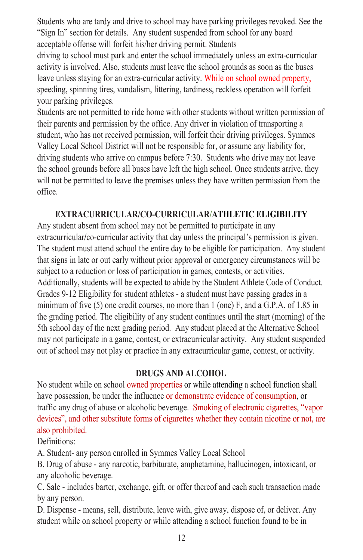Students who are tardy and drive to school may have parking privileges revoked. See the Students who are tardy and drive to school may have parking privileges revoked. See the "Sign In" section for details. Any student suspended from school for any board "Sign In" section for details. Any student suspended from school for any board acceptable offense will forfeit his/her driving permit. Students acceptable offense will forfeit his/her driving permit. Students

driving to school must park and enter the school immediately unless an extra-curricular driving to school must park and enter the school immediately unless an extra-curricular activity is involved. Also, students must leave the school grounds as soon as the buses activity is involved. Also, students must leave the school grounds as soon as the buses leave unless staying for an extra-curricular activity. While on school owned property, leave unless staying for an extra-curricular activity. While on school owned property, speeding, spinning tires, vandalism, littering, tardiness, reckless operation will forfeit speeding, spinning tires, vandalism, littering, tardiness, reckless operation will forfeit your parking privileges. your parking privileges.

Students are not permitted to ride home with other students without written permission of Students are not permitted to ride home with other students without written permission of their parents and permission by the office. Any driver in violation of transporting a their parents and permission by the office. Any driver in violation of transporting a student, who has not received permission, will forfeit their driving privileges. Symmes student, who has not received permission, will forfeit their driving privileges. Symmes Valley Local School District will not be responsible for, or assume any liability for, Valley Local School District will not be responsible for, or assume any liability for, driving students who arrive on campus before 7:30. Students who drive may not leave driving students who arrive on campus before 7:30. Students who drive may not leave the school grounds before all buses have left the high school. Once students arrive, they the school grounds before all buses have left the high school. Once students arrive, they will not be permitted to leave the premises unless they have written permission from the will not be permitted to leave the premises unless they have written permission from the office. office.

### **EXTRACURRICULAR/CO-CURRICULAR/ATHLETIC ELIGIBILITY EXTRACURRICULAR/CO-CURRICULAR/ATHLETIC ELIGIBILITY**

Any student absent from school may not be permitted to participate in any Any student absent from school may not be permitted to participate in any extracurricular**/**co-curricular activity that day unless the principal's permission is given. extracurricular**/**co-curricular activity that day unless the principal's permission is given. The student must attend school the entire day to be eligible for participation. Any student The student must attend school the entire day to be eligible for participation. Any student that signs in late or out early without prior approval or emergency circumstances will be that signs in late or out early without prior approval or emergency circumstances will be subject to a reduction or loss of participation in games, contests, or activities. subject to a reduction or loss of participation in games, contests, or activities. Additionally, students will be expected to abide by the Student Athlete Code of Conduct. Additionally, students will be expected to abide by the Student Athlete Code of Conduct. Grades 9-12 Eligibility for student athletes - a student must have passing grades in a Grades 9-12 Eligibility for student athletes - a student must have passing grades in a minimum of five  $(5)$  one credit courses, no more than 1 (one) F, and a G.P.A. of 1.85 in the grading period. The eligibility of any student continues until the start (morning) of the the grading period. The eligibility of any student continues until the start (morning) of the 5th school day of the next grading period. Any student placed at the Alternative School 5th school day of the next grading period. Any student placed at the Alternative School may not participate in a game, contest, or extracurricular activity. Any student suspended may not participate in a game, contest, or extracurricular activity. Any student suspended out of school may not play or practice in any extracurricular game, contest, or activity. out of school may not play or practice in any extracurricular game, contest, or activity.

#### **DRUGS AND ALCOHOL DRUGS AND ALCOHOL**

No student while on school owned properties or while attending a school function shall No student while on school owned properties or while attending a school function shall have possession, be under the influence or demonstrate evidence of consumption, or have possession, be under the influence or demonstrate evidence of consumption, or traffic any drug of abuse or alcoholic beverage. Smoking of electronic cigarettes, "vapor traffic any drug of abuse or alcoholic beverage. Smoking of electronic cigarettes, "vapor devices", and other substitute forms of cigarettes whether they contain nicotine or not, are also prohibited. also prohibited.

Definitions: Definitions:

A. Student- any person enrolled in Symmes Valley Local School A. Student- any person enrolled in Symmes Valley Local School

B. Drug of abuse - any narcotic, barbiturate, amphetamine, hallucinogen, intoxicant, or B. Drug of abuse - any narcotic, barbiturate, amphetamine, hallucinogen, intoxicant, or any alcoholic beverage. any alcoholic beverage.

C. Sale - includes barter, exchange, gift, or offer thereof and each such transaction made C. Sale - includes barter, exchange, gift, or offer thereof and each such transaction made by any person. by any person.

D. Dispense - means, sell, distribute, leave with, give away, dispose of, or deliver. Any D. Dispense - means, sell, distribute, leave with, give away, dispose of, or deliver. Any student while on school property or while attending a school function found to be in student while on school property or while attending a school function found to be in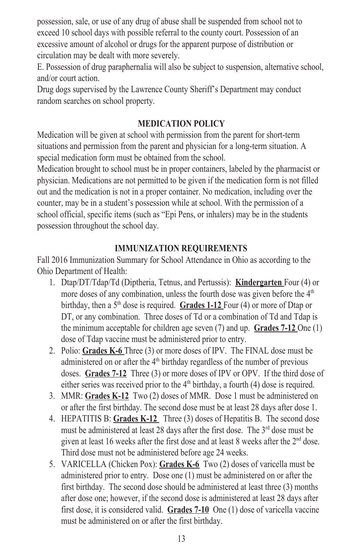possession, sale, or use of any drug of abuse shall be suspended from school not to possession, sale, or use of any drug of abuse shall be suspended from school not to exceed 10 school days with possible referral to the county court. Possession of an exceed 10 school days with possible referral to the county court. Possession of an excessive amount of alcohol or drugs for the apparent purpose of distribution or excessive amount of alcohol or drugs for the apparent purpose of distribution or circulation may be dealt with more severely. circulation may be dealt with more severely.

E. Possession of drug paraphernalia will also be subject to suspension, alternative school, E. Possession of drug paraphernalia will also be subject to suspension, alternative school, and/or court action. and/or court action.

Drug dogs supervised by the Lawrence County Sheriff's Department may conduct Drug dogs supervised by the Lawrence County Sheriff's Department may conduct random searches on school property. random searches on school property.

#### **MEDICATION POLICY MEDICATION POLICY**

Medication will be given at school with permission from the parent for short-term Medication will be given at school with permission from the parent for short-term situations and permission from the parent and physician for a long-term situation. A situations and permission from the parent and physician for a long-term situation. A special medication form must be obtained from the school. special medication form must be obtained from the school.

Medication brought to school must be in proper containers, labeled by the pharmacist or Medication brought to school must be in proper containers, labeled by the pharmacist or physician. Medications are not permitted to be given if the medication form is not filled physician. Medications are not permitted to be given if the medication form is not filled out and the medication is not in a proper container. No medication, including over the out and the medication is not in a proper container. No medication, including over the counter, may be in a student's possession while at school. With the permission of a school official, specific items (such as "Epi Pens, or inhalers) may be in the students school official, specific items (such as "Epi Pens, or inhalers) may be in the students possession throughout the school day. possession throughout the school day.

#### **IMMUNIZATION REQUIREMENTS IMMUNIZATION REQUIREMENTS**

Fall 2016 Immunization Summary for School Attendance in Ohio as according to the Fall 2016 Immunization Summary for School Attendance in Ohio as according to the Ohio Department of Health: Ohio Department of Health:

- 1. Dtap/DT/Tdap/Td (Diptheria, Tetnus, and Pertussis): **Kindergarten** Four (4) or 1. Dtap/DT/Tdap/Td (Diptheria, Tetnus, and Pertussis): **Kindergarten** Four (4) or more doses of any combination, unless the fourth dose was given before the  $4<sup>th</sup>$  more doses of any combination, unless the fourth dose was given before the  $4<sup>th</sup>$ birthday, then a 5th dose is required. **Grades 1-12** Four (4) or more of Dtap or birthday, then a 5th dose is required. **Grades 1-12** Four (4) or more of Dtap or DT, or any combination. Three doses of Td or a combination of Td and Tdap is DT, or any combination. Three doses of Td or a combination of Td and Tdap is the minimum acceptable for children age seven (7) and up. **Grades 7-12** One (1) the minimum acceptable for children age seven (7) and up. **Grades 7-12** One (1) dose of Tdap vaccine must be administered prior to entry. dose of Tdap vaccine must be administered prior to entry.
- 2. Polio: **Grades K-6** Three (3) or more doses of IPV. The FINAL dose must be 2. Polio: **Grades K-6** Three (3) or more doses of IPV. The FINAL dose must be administered on or after the  $4<sup>th</sup>$  birthday regardless of the number of previous doses. **Grades 7-12** Three (3) or more doses of IPV or OPV. If the third dose of doses. **Grades 7-12** Three (3) or more doses of IPV or OPV. If the third dose of either series was received prior to the  $4<sup>th</sup>$  birthday, a fourth (4) dose is required.
- 3. MMR: **Grades K-12** Two (2) doses of MMR. Dose 1 must be administered on 3. MMR: **Grades K-12** Two (2) doses of MMR. Dose 1 must be administered on or after the first birthday. The second dose must be at least 28 days after dose 1. or after the first birthday. The second dose must be at least 28 days after dose 1.
- 4. HEPATITIS B: **Grades K-12** Three (3) doses of Hepatitis B. The second dose 4. HEPATITIS B: **Grades K-12** Three (3) doses of Hepatitis B. The second dose must be administered at least 28 days after the first dose. The  $3<sup>rd</sup>$  dose must be administered at least 28 days after the first dose. The  $3<sup>rd</sup>$  dose must be given at least 16 weeks after the first dose and at least 8 weeks after the  $2<sup>nd</sup>$  dose. Third dose must not be administered before age 24 weeks. Third dose must not be administered before age 24 weeks.
- 5. VARICELLA (Chicken Pox): **Grades K-6** Two (2) doses of varicella must be 5. VARICELLA (Chicken Pox): **Grades K-6** Two (2) doses of varicella must be administered prior to entry. Dose one  $(1)$  must be administered on or after the first birthday. The second dose should be administered at least three (3) months first birthday. The second dose should be administered at least three (3) months after dose one; however, if the second dose is administered at least 28 days after after dose one; however, if the second dose is administered at least 28 days after first dose, it is considered valid. **Grades 7-10** One (1) dose of varicella vaccine first dose, it is considered valid. **Grades 7-10** One (1) dose of varicella vaccine must be administered on or after the first birthday. must be administered on or after the first birthday.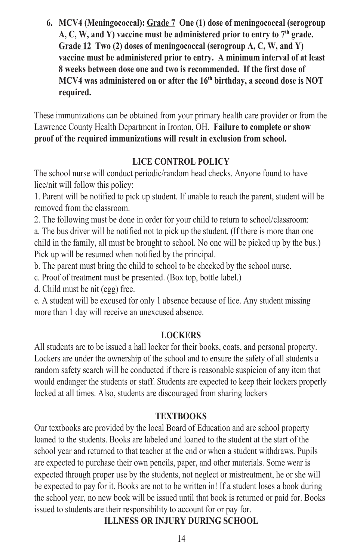**6.** MCV4 (Meningococcal): **Grade 7** One (1) dose of meningococcal (serogroup  $\overline{A}$ ,  $C$ ,  $W$ , and  $Y$ ) vaccine must be administered prior to entry to  $7<sup>th</sup>$  grade. Grade 12 Two (2) doses of meningococcal (serogroup A, C, W, and Y) **<u><b>vaccine**</u> **and the first doministered prior to entry. A minimum interval of at least 8** weeks between dose one and two is recommended. If the first dose of MCV4 was administered on or after the 16<sup>th</sup> birthday, a second dose is NOT **required.** These immunizations can be obtained from your primary health care primary health care primary health care provider or from the primary health care provider or from the primary health care provider or from the primary healt

These immunizations can be obtained from your primary health care provider or from the Lawrence County Health Department in Ironton, OH. Failure to complete or show **proof of the required immunizations will result in exclusion from school.**

#### LICE CONTROL POLICY

The school nurse will conduct periodic/random head checks. Anyone found to have  $\frac{1}{2}$  lice/nit will follow this policy:

1. Parent will be notified to pick up student. If unable to reach the parent, student will be removed from the classroom.

2. The following must be done in order for your child to return to school/classroom: a. The bus driver will be notified not to pick up the student. (If there is more than one child in the family, all must be brought to school. No one will be picked up by the bus.) Pick up will be resumed when notified by the principal.

 $\frac{1}{2}$ . The parent must bring the child to school to be checked by the school nurse.

c. Proof of treatment must be presented. (Box top, bottle label.)

d. Child must be nit (egg) free.

e. A student will be excused for only 1 absence because of lice. Any student missing more than 1 day will receive an unexcused absence.

#### **LOCKERS**  $\bf{A}$  students are to be independent of the issued a hall local property.

All students are to be issued a hall locker for their books, coats, and personal property. Lockers are under the ownership of the school and to ensure the safety of all students a random safety search will be conducted if there is reasonable suspicion of any item that make the students of the students or staff. Students are expected to keep their lockers properly would endanger the students or staff. Students are expected to keep their lockers properly locked at all times. Also, students are discouraged from sharing lockers

#### TEXTBOOKS

Our textbooks are provided by the local Board of Education and are school property s are labeled and loaned to the students. Books are labeled and loaned to the student at the start of the school year and returned to that teacher at the end or when a student withdraws. Pupils are expected to purchase their own pencils, paper, and other materials. Some wear is expected through proper use by the students, not neglect or mistreatment, he or she will expected through proper use by the students, not neglect or mistreatment, he or she will  $\frac{1}{2}$  be expected to pay for it. Books are not to be written in! If a student loses a book during the school year, no new book will be issued until that book is returned or paid for. Books issued to students are their responsibility to account for or pay for.

#### **ILLNESS OR INJURY DURING SCHOOL**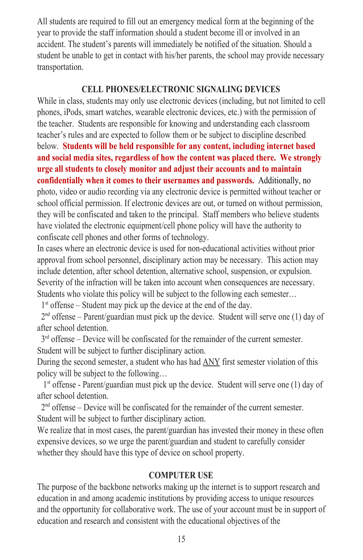All students are required to fill out an emergency medical form at the beginning of the All students are required to fill out an emergency medical form at the beginning of the year to provide the staff information should a student become ill or involved in an year to provide the staff information should a student become ill or involved in an accident. The student's parents will immediately be notified of the situation. Should a accident. The student's parents will immediately be notified of the situation. Should a student be unable to get in contact with his/her parents, the school may provide necessary student be unable to get in contact with his/her parents, the school may provide necessary transportation. transportation.

#### **CELL PHONES/ELECTRONIC SIGNALING DEVICES CELL PHONES/ELECTRONIC SIGNALING DEVICES**

While in class, students may only use electronic devices (including, but not limited to cell While in class, students may only use electronic devices (including, but not limited to cell phones, iPods, smart watches, wearable electronic devices, etc.) with the permission of phones, iPods, smart watches, wearable electronic devices, etc.) with the permission of the teacher. Students are responsible for knowing and understanding each classroom the teacher. Students are responsible for knowing and understanding each classroom teacher's rules and are expected to follow them or be subject to discipline described teacher's rules and are expected to follow them or be subject to discipline described below. **Students will be held responsible for any content, including internet based** below. **Students will be held responsible for any content, including internet based and social media sites, regardless of how the content was placed there. We strongly and social media sites, regardless of how the content was placed there. We strongly urge all students to closely monitor and adjust their accounts and to maintain urge all students to closely monitor and adjust their accounts and to maintain confidentially when it comes to their usernames and passwords.** Additionally, no **confidentially when it comes to their usernames and passwords.** Additionally, no photo, video or audio recording via any electronic device is permitted without teacher or photo, video or audio recording via any electronic device is permitted without teacher or school official permission. If electronic devices are out, or turned on without permission, school official permission. If electronic devices are out, or turned on without permission, they will be confiscated and taken to the principal. Staff members who believe students they will be confiscated and taken to the principal. Staff members who believe students have violated the electronic equipment/cell phone policy will have the authority to confiscate cell phones and other forms of technology. confiscate cell phones and other forms of technology.

In cases where an electronic device is used for non-educational activities without prior In cases where an electronic device is used for non-educational activities without prior approval from school personnel, disciplinary action may be necessary. This action may approval from school personnel, disciplinary action may be necessary. This action may include detention, after school detention, alternative school, suspension, or expulsion. include detention, after school detention, alternative school, suspension, or expulsion. Severity of the infraction will be taken into account when consequences are necessary. Severity of the infraction will be taken into account when consequences are necessary. Students who violate this policy will be subject to the following each semester… Students who violate this policy will be subject to the following each semester…

1st offense – Student may pick up the device at the end of the day. 1st offense – Student may pick up the device at the end of the day.

 $2<sup>nd</sup>$  offense – Parent/guardian must pick up the device. Student will serve one (1) day of after school detention. after school detention.

 $3<sup>rd</sup>$  offense – Device will be confiscated for the remainder of the current semester. Student will be subject to further disciplinary action. Student will be subject to further disciplinary action.

During the second semester, a student who has had ANY first semester violation of this During the second semester, a student who has had ANY first semester violation of this policy will be subject to the following… policy will be subject to the following…

 $1<sup>st</sup>$  offense - Parent/guardian must pick up the device. Student will serve one (1) day of after school detention. after school detention.

 $2<sup>nd</sup>$  offense – Device will be confiscated for the remainder of the current semester. Student will be subject to further disciplinary action. Student will be subject to further disciplinary action.

We realize that in most cases, the parent/guardian has invested their money in these often We realize that in most cases, the parent/guardian has invested their money in these often expensive devices, so we urge the parent/guardian and student to carefully consider expensive devices, so we urge the parent/guardian and student to carefully consider whether they should have this type of device on school property. whether they should have this type of device on school property.

#### **COMPUTER USE COMPUTER USE**

The purpose of the backbone networks making up the internet is to support research and The purpose of the backbone networks making up the internet is to support research and education in and among academic institutions by providing access to unique resources education in and among academic institutions by providing access to unique resources and the opportunity for collaborative work. The use of your account must be in support of education and research and consistent with the educational objectives of the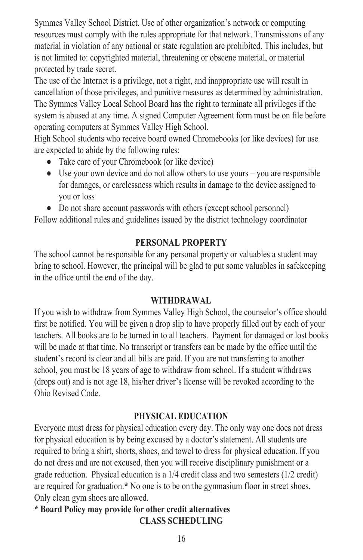Symmes Valley School District. Use of other organization's network or computing resources must comply with the rules appropriate for that network. Transmissions of any material in violation of any national or state regulation are prohibited. This includes, but is not limited to: copyrighted material, threatening or obscene material, or material protected by trade secret.

The use of the Internet is a privilege, not a right, and inappropriate use will result in cancellation of those privileges, and punitive measures as determined by administration. The Symmes Valley Local School Board has the right to terminate all privileges if the system is abused at any time. A signed Computer Agreement form must be on file before operating computers at Symmes Valley High School.

High School students who receive board owned Chromebooks (or like devices) for use are expected to abide by the following rules:

- $\bullet$  Take care of your Chromebook (or like device)
- $\bullet$  Use your own device and do not allow others to use yours you are responsible for damages, or carelessness which results in damage to the device assigned to you or loss  $\frac{1}{2}$
- $\bullet$  Do not share account passwords with others (except school personnel)

Follow additional rules and guidelines issued by the district technology coordinator **PERSONAL PROPERTY**

#### PERSONAL PROPERTY

The school cannot be responsible for any personal property or valuables a student may bring to school. However, the principal will be glad to put some valuables in safekeeping in the office until the end of the day.

#### WITHDRAWAL

If you wish to withdraw from Symmes Valley High School, the counselor's office should first be notified. You will be given a drop slip to have properly filled out by each of your teachers. All books are to be turned in to all teachers. Payment for damaged or lost books will be made at that time. No transcript or transfers can be made by the office until the student's record is clear and all bills are paid. If you are not transferring to another school, you must be 18 years of age to withdraw from school. If a student withdraws (drops out) and is not age 18, his/her driver's license will be revoked according to the Ohio Revised Code.

#### PHYSICAL EDUCATION

Everyone must dress for physical education every day. The only way one does not dress for physical education is by being excused by a doctor's statement. All students are required to bring a shirt, shorts, shoes, and towel to dress for physical education. If you  $\overline{d}$  do not dress and are not excused, then you will receive disciplinary punishment or a grade reduction. Physical education is a 1/4 credit class and two semesters (1/2 credit) are required for graduation.\* No one is to be on the gymnasium floor in street shoes. Only clean gym shoes are allowed.

#### **\*** Board Policy may provide for other credit alternatives **CLASS SCHEDULING**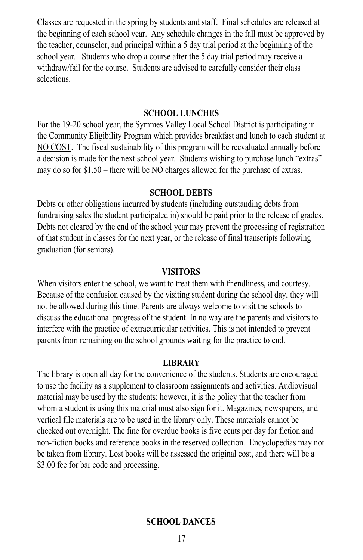Classes are requested in the spring by students and staff. Final schedules are released at Classes are requested in the spring by students and staff. Final schedules are released at the beginning of each school year. Any schedule changes in the fall must be approved by the beginning of each school year. Any schedule changes in the fall must be approved by the teacher, counselor, and principal within a 5 day trial period at the beginning of the school year. Students who drop a course after the 5 day trial period may receive a school year. Students who drop a course after the 5 day trial period may receive a withdraw/fail for the course. Students are advised to carefully consider their class withdraw/fail for the course. Students are advised to carefully consider their class selections. selections.

#### **SCHOOL LUNCHES SCHOOL LUNCHES**

For the 19-20 school year, the Symmes Valley Local School District is participating in For the 19-20 school year, the Symmes Valley Local School District is participating in the Community Eligibility Program which provides breakfast and lunch to each student at the Community Eligibility Program which provides breakfast and lunch to each student at NO COST. The fiscal sustainability of this program will be reevaluated annually before NO COST. The fiscal sustainability of this program will be reevaluated annually before a decision is made for the next school year. Students wishing to purchase lunch "extras" a decision is made for the next school year. Students wishing to purchase lunch "extras" may do so for \$1.50 – there will be NO charges allowed for the purchase of extras. may do so for \$1.50 – there will be NO charges allowed for the purchase of extras.

#### **SCHOOL DEBTS SCHOOL DEBTS**

Debts or other obligations incurred by students (including outstanding debts from Debts or other obligations incurred by students (including outstanding debts from fundraising sales the student participated in) should be paid prior to the release of grades. fundraising sales the student participated in) should be paid prior to the release of grades. Debts not cleared by the end of the school year may prevent the processing of registration Debts not cleared by the end of the school year may prevent the processing of registration of that student in classes for the next year, or the release of final transcripts following of that student in classes for the next year, or the release of final transcripts following graduation (for seniors). graduation (for seniors).

#### **VISITORS VISITORS**

When visitors enter the school, we want to treat them with friendliness, and courtesy. Because of the confusion caused by the visiting student during the school day, they will Because of the confusion caused by the visiting student during the school day, they will not be allowed during this time. Parents are always welcome to visit the schools to not be allowed during this time. Parents are always welcome to visit the schools to discuss the educational progress of the student. In no way are the parents and visitors to discuss the educational progress of the student. In no way are the parents and visitors to interfere with the practice of extracurricular activities. This is not intended to prevent interfere with the practice of extracurricular activities. This is not intended to prevent parents from remaining on the school grounds waiting for the practice to end. parents from remaining on the school grounds waiting for the practice to end.

#### **LIBRARY LIBRARY**

The library is open all day for the convenience of the students. Students are encouraged The library is open all day for the convenience of the students. Students are encouraged to use the facility as a supplement to classroom assignments and activities. Audiovisual to use the facility as a supplement to classroom assignments and activities. Audiovisual material may be used by the students; however, it is the policy that the teacher from material may be used by the students; however, it is the policy that the teacher from whom a student is using this material must also sign for it. Magazines, newspapers, and whom a student is using this material must also sign for it. Magazines, newspapers, and vertical file materials are to be used in the library only. These materials cannot be vertical file materials are to be used in the library only. These materials cannot be checked out overnight. The fine for overdue books is five cents per day for fiction and checked out overnight. The fine for overdue books is five cents per day for fiction and non-fiction books and reference books in the reserved collection. Encyclopedias may not non-fiction books and reference books in the reserved collection. Encyclopedias may not be taken from library. Lost books will be assessed the original cost, and there will be a be taken from library. Lost books will be assessed the original cost, and there will be a \$3.00 fee for bar code and processing.

#### **SCHOOL DANCES SCHOOL DANCES**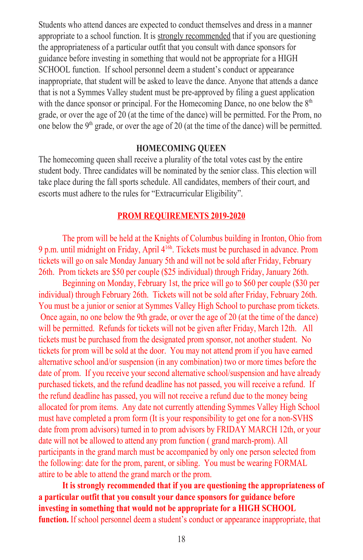Students who attend dances are expected to conduct themselves and dress in a manner Students who attend dances are expected to conduct themselves and dress in a manner appropriate to a school function. It is strongly recommended that if you are questioning the appropriateness of a particular outfit that you consult with dance sponsors for the appropriateness of a particular outfit that you consult with dance sponsors for guidance before investing in something that would not be appropriate for a HIGH guidance before investing in something that would not be appropriate for a HIGH SCHOOL function. If school personnel deem a student's conduct or appearance SCHOOL function. If school personnel deem a student's conduct or appearance inappropriate, that student will be asked to leave the dance. Anyone that attends a dance inappropriate, that student will be asked to leave the dance. Anyone that attends a dance that is not a Symmes Valley student must be pre-approved by filing a guest application that is not a Symmes Valley student must be pre-approved by filing a guest application with the dance sponsor or principal. For the Homecoming Dance, no one below the 8<sup>th</sup> grade, or over the age of 20 (at the time of the dance) will be permitted. For the Prom, no grade, or over the age of 20 (at the time of the dance) will be permitted. For the Prom, no one below the  $9<sup>th</sup>$  grade, or over the age of 20 (at the time of the dance) will be permitted.

#### **HOMECOMING QUEEN HOMECOMING QUEEN**

The homecoming queen shall receive a plurality of the total votes cast by the entire The homecoming queen shall receive a plurality of the total votes cast by the entire student body. Three candidates will be nominated by the senior class. This election will student body. Three candidates will be nominated by the senior class. This election will take place during the fall sports schedule. All candidates, members of their court, and take place during the fall sports schedule. All candidates, members of their court, and escorts must adhere to the rules for "Extracurricular Eligibility". escorts must adhere to the rules for "Extracurricular Eligibility".

#### **PROM REQUIREMENTS 2019-2020 PROM REQUIREMENTS 2019-2020**

The prom will be held at the Knights of Columbus building in Ironton, Ohio from The prom will be held at the Knights of Columbus building in Ironton, Ohio from 9 p.m. until midnight on Friday, April 416h . Tickets must be purchased in advance. Prom 9 p.m. until midnight on Friday, April 416h . Tickets must be purchased in advance. Prom tickets will go on sale Monday January 5th and will not be sold after Friday, February tickets will go on sale Monday January 5th and will not be sold after Friday, February 26th. Prom tickets are \$50 per couple (\$25 individual) through Friday, January 26th. 26th. Prom tickets are \$50 per couple (\$25 individual) through Friday, January 26th.

Beginning on Monday, February 1st, the price will go to \$60 per couple (\$30 per Beginning on Monday, February 1st, the price will go to \$60 per couple (\$30 per individual) through February 26th. Tickets will not be sold after Friday, February 26th. individual) through February 26th. Tickets will not be sold after Friday, February 26th. You must be a junior or senior at Symmes Valley High School to purchase prom tickets. You must be a junior or senior at Symmes Valley High School to purchase prom tickets. Once again, no one below the 9th grade, or over the age of 20 (at the time of the dance) Once again, no one below the 9th grade, or over the age of 20 (at the time of the dance) will be permitted. Refunds for tickets will not be given after Friday, March 12th. All will be permitted. Refunds for tickets will not be given after Friday, March 12th. All tickets must be purchased from the designated prom sponsor, not another student. No tickets must be purchased from the designated prom sponsor, not another student. No tickets for prom will be sold at the door. You may not attend prom if you have earned tickets for prom will be sold at the door. You may not attend prom if you have earned alternative school and/or suspension (in any combination) two or more times before the alternative school and/or suspension (in any combination) two or more times before the date of prom. If you receive your second alternative school/suspension and have already date of prom. If you receive your second alternative school/suspension and have already purchased tickets, and the refund deadline has not passed, you will receive a refund. If purchased tickets, and the refund deadline has not passed, you will receive a refund. If the refund deadline has passed, you will not receive a refund due to the money being allocated for prom items. Any date not currently attending Symmes Valley High School allocated for prom items. Any date not currently attending Symmes Valley High School must have completed a prom form (It is your responsibility to get one for a non-SVHS must have completed a prom form (It is your responsibility to get one for a non-SVHS date from prom advisors) turned in to prom advisors by FRIDAY MARCH 12th, or your date from prom advisors) turned in to prom advisors by FRIDAY MARCH 12th, or your date will not be allowed to attend any prom function ( grand march-prom). All date will not be allowed to attend any prom function ( grand march-prom). All participants in the grand march must be accompanied by only one person selected from participants in the grand march must be accompanied by only one person selected from the following: date for the prom, parent, or sibling. You must be wearing FORMAL the following: date for the prom, parent, or sibling. You must be wearing FORMAL attire to be able to attend the grand march or the prom. attire to be able to attend the grand march or the prom.

**It is strongly recommended that if you are questioning the appropriateness of It is strongly recommended that if you are questioning the appropriateness of a particular outfit that you consult your dance sponsors for guidance before a particular outfit that you consult your dance sponsors for guidance before investing in something that would not be appropriate for a HIGH SCHOOL investing in something that would not be appropriate for a HIGH SCHOOL function.** If school personnel deem a student's conduct or appearance inappropriate, that **function.** If school personnel deem a student's conduct or appearance inappropriate, that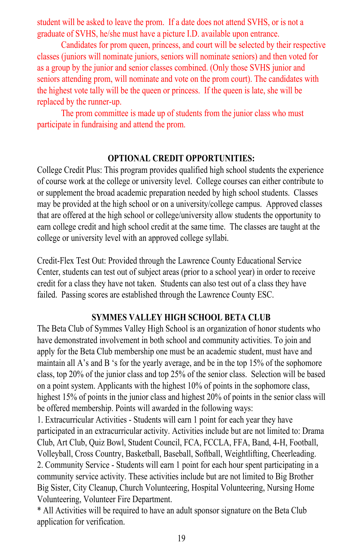student will be asked to leave the prom. If a date does not attend SVHS, or is not a student will be asked to leave the prom. If a date does not attend SVHS, or is not a graduate of SVHS, he/she must have a picture I.D. available upon entrance. graduate of SVHS, he/she must have a picture I.D. available upon entrance.

Candidates for prom queen, princess, and court will be selected by their respective Candidates for prom queen, princess, and court will be selected by their respective classes (juniors will nominate juniors, seniors will nominate seniors) and then voted for classes (juniors will nominate juniors, seniors will nominate seniors) and then voted for as a group by the junior and senior classes combined. (Only those SVHS junior and as a group by the junior and senior classes combined. (Only those SVHS junior and seniors attending prom, will nominate and vote on the prom court). The candidates with seniors attending prom, will nominate and vote on the prom court). The candidates with the highest vote tally will be the queen or princess. If the queen is late, she will be the highest vote tally will be the queen or princess. If the queen is late, she will be replaced by the runner-up. replaced by the runner-up.

The prom committee is made up of students from the junior class who must The prom committee is made up of students from the junior class who must participate in fundraising and attend the prom. participate in fundraising and attend the prom.

#### **OPTIONAL CREDIT OPPORTUNITIES: OPTIONAL CREDIT OPPORTUNITIES:**

College Credit Plus: This program provides qualified high school students the experience College Credit Plus: This program provides qualified high school students the experience of course work at the college or university level. College courses can either contribute to of course work at the college or university level. College courses can either contribute to or supplement the broad academic preparation needed by high school students. Classes or supplement the broad academic preparation needed by high school students. Classes may be provided at the high school or on a university/college campus. Approved classes may be provided at the high school or on a university/college campus. Approved classes that are offered at the high school or college/university allow students the opportunity to that are offered at the high school or college/university allow students the opportunity to earn college credit and high school credit at the same time. The classes are taught at the earn college credit and high school credit at the same time. The classes are taught at the college or university level with an approved college syllabi. college or university level with an approved college syllabi.

Credit-Flex Test Out: Provided through the Lawrence County Educational Service Credit-Flex Test Out: Provided through the Lawrence County Educational Service Center, students can test out of subject areas (prior to a school year) in order to receive Center, students can test out of subject areas (prior to a school year) in order to receive credit for a class they have not taken. Students can also test out of a class they have credit for a class they have not taken. Students can also test out of a class they have failed. Passing scores are established through the Lawrence County ESC. failed. Passing scores are established through the Lawrence County ESC.

#### **SYMMES VALLEY HIGH SCHOOL BETA CLUB SYMMES VALLEY HIGH SCHOOL BETA CLUB**

The Beta Club of Symmes Valley High School is an organization of honor students who The Beta Club of Symmes Valley High School is an organization of honor students who have demonstrated involvement in both school and community activities. To join and have demonstrated involvement in both school and community activities. To join and apply for the Beta Club membership one must be an academic student, must have and apply for the Beta Club membership one must be an academic student, must have and maintain all A's and B 's for the yearly average, and be in the top 15% of the sophomore maintain all A's and B 's for the yearly average, and be in the top 15% of the sophomore class, top 20% of the junior class and top 25% of the senior class. Selection will be based class, top 20% of the junior class and top 25% of the senior class. Selection will be based on a point system. Applicants with the highest 10% of points in the sophomore class, on a point system. Applicants with the highest 10% of points in the sophomore class, highest 15% of points in the junior class and highest 20% of points in the senior class will highest 15% of points in the junior class and highest 20% of points in the senior class will be offered membership. Points will awarded in the following ways: be offered membership. Points will awarded in the following ways:

1. Extracurricular Activities - Students will earn 1 point for each year they have 1. Extracurricular Activities - Students will earn 1 point for each year they have participated in an extracurricular activity. Activities include but are not limited to: Drama participated in an extracurricular activity. Activities include but are not limited to: Drama Club, Art Club, Quiz Bowl, Student Council, FCA, FCCLA, FFA, Band, 4-H, Football, Club, Art Club, Quiz Bowl, Student Council, FCA, FCCLA, FFA, Band, 4-H, Football, Volleyball, Cross Country, Basketball, Baseball, Softball, Weightlifting, Cheerleading. Volleyball, Cross Country, Basketball, Baseball, Softball, Weightlifting, Cheerleading. 2. Community Service - Students will earn 1 point for each hour spent participating in a 2. Community Service - Students will earn 1 point for each hour spent participating in a community service activity. These activities include but are not limited to Big Brother community service activity. These activities include but are not limited to Big Brother Big Sister, City Cleanup, Church Volunteering, Hospital Volunteering, Nursing Home Big Sister, City Cleanup, Church Volunteering, Hospital Volunteering, Nursing Home Volunteering, Volunteer Fire Department. Volunteering, Volunteer Fire Department.

\* All Activities will be required to have an adult sponsor signature on the Beta Club \* All Activities will be required to have an adult sponsor signature on the Beta Club application for verification. application for verification.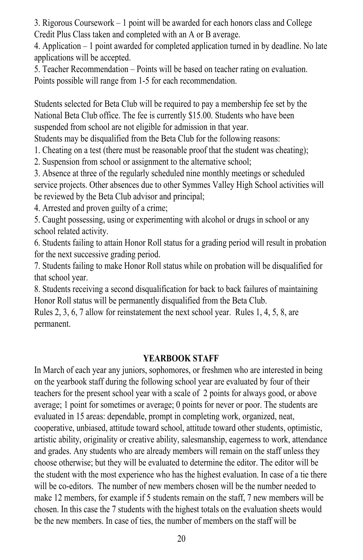3. Rigorous Coursework – 1 point will be awarded for each honors class and College Credit Plus Class taken and completed with an A or B average.

4. Application  $-1$  point awarded for completed application turned in by deadline. No late applications will be accepted.

 $\overline{5}$ . Teacher Recommendation – Points will be based on teacher rating on evaluation. Points possible will range from 1-5 for each recommendation.  $\mathbf{S}$  set by  $\mathbf{S}$ 

Students selected for Beta Club will be required to pay a membership fee set by the National Beta Club office. The fee is currently \$15.00. Students who have been suspended from school are not eligible for admission in that year.

Students may be disqualified from the Beta Club for the following reasons:

1. Cheating on a test (there must be reasonable proof that the student was cheating);

 $\overline{2}$ . Suspension from school or assignment to the alternative school;

3. Absence at three of the regularly scheduled nine monthly meetings or scheduled service projects. Other absences due to other Symmes Valley High School activities will be reviewed by the Beta Club advisor and principal;

4. Arrested and proven guilty of a crime;

5. Caught possessing, using or experimenting with alcohol or drugs in school or any  $\frac{6}{x}$  school related activity.

6. Students failing to attain Honor Roll status for a grading period will result in probation for the next successive grading period.

7. Students failing to make Honor Roll status while on probation will be disqualified for  $\frac{8}{1}$  studients receiving a second distribution for back failures of maintaining  $\frac{8}{1}$ 

8. Students receiving a second disqualification for back to back failures of maintaining Honor Roll status will be permanently disqualified from the Beta Club.

Rules 2, 3, 6, 7 allow for reinstatement the next school year. Rules 1, 4, 5, 8, are permanent.

#### **YEARBOOK STAFF**

In March of each year any juniors, sophomores, or freshmen who are interested in being on the yearbook staff during the following school year are evaluated by four of their teachers for the present school year with a scale of 2 points for always good, or above average; 1 point for sometimes or average; 0 points for never or poor. The students are evaluated in 15 areas: dependable, prompt in completing work, organized, neat, cooperative, unbiased, attitude toward school, attitude toward other students, optimistic, artistic ability, originality or creative ability, salesmanship, eagerness to work, attendance and grades. Any students who are already members will remain on the staff unless they choose otherwise; but they will be evaluated to determine the editor. The editor will be the student with the most experience who has the highest evaluation. In case of a tie there will be co-editors. The number of new members chosen will be the number needed to make 12 members, for example if 5 students remain on the staff, 7 new members will be chosen. In this case the 7 students with the highest totals on the evaluation sheets would be the new members. In case of ties, the number of members on the staff will be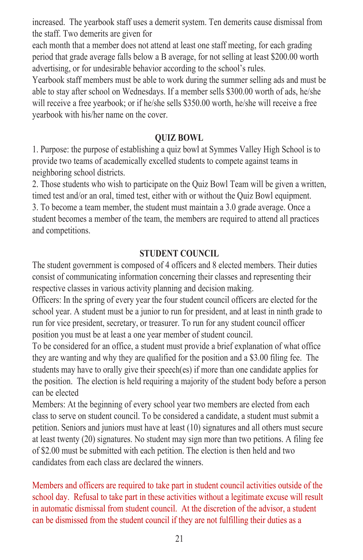increased. The yearbook staff uses a demerit system. Ten demerits cause dismissal from the staff. Two demerits are given for

each month that a member does not attend at least one staff meeting, for each grading period that grade average falls below a B average, for not selling at least \$200.00 worth advertising, or for undesirable behavior according to the school's rules.

Yearbook staff members must be able to work during the summer selling ads and must be able to stay after school on Wednesdays. If a member sells \$300.00 worth of ads, he/she will receive a free yearbook; or if he/she sells \$350.00 worth, he/she will receive a free yearbook with his/her name on the cover.

#### **QUIZ BOWL**

1. Purpose: the purpose of establishing a quiz bowl at Symmes Valley High School is to provide two teams of academically excelled students to compete against teams in neighboring school districts.

2. Those students who wish to participate on the Quiz Bowl Team will be given a written, timed test and/or an oral, timed test, either with or without the Quiz Bowl equipment. 3. To become a team member, the student must maintain a  $3.0$  grade average. Once a student becomes a member of the team, the members are required to attend all practices and competitions.

#### **STUDENT COUNCIL**

The student government is composed of 4 officers and 8 elected members. Their duties consist of communicating information concerning their classes and representing their respective classes in various activity planning and decision making.

Officers: In the spring of every year the four student council officers are elected for the school year. A student must be a junior to run for president, and at least in ninth grade to run for vice president, secretary, or treasurer. To run for any student council officer position you must be at least a one year member of student council.

To be considered for an office, a student must provide a brief explanation of what office they are wanting and why they are qualified for the position and a \$3.00 filing fee. The students may have to orally give their speech(es) if more than one candidate applies for the position. The election is held requiring a majority of the student body before a person  $\frac{1}{2}$  can be elected from each of elected from each  $\frac{1}{2}$  of elected from each  $\frac{1}{2}$  of  $\frac{1}{2}$  of  $\frac{1}{2}$  of  $\frac{1}{2}$  or  $\frac{1}{2}$  or  $\frac{1}{2}$  or  $\frac{1}{2}$  or  $\frac{1}{2}$  or  $\frac{1}{2}$  or  $\frac{1}{2}$  or  $\frac{$ 

Members: At the beginning of every school year two members are elected from each class to serve on student council. To be considered a candidate, a student must submit a petition. Seniors and juniors must have at least (10) signatures and all others must secure at least twenty (20) signatures. No student may sign more than two petitions. A filing fee of \$2.00 must be submitted with each petition. The election is then held and two candidates from each class are declared the winners.

Members and officers are required to take part in student council activities outside of the school day. Refusal to take part in these activities without a legitimate excuse will result in automatic dismissal from student council. At the discretion of the advisor, a student can be dismissed from the student council if they are not fulfilling their duties as a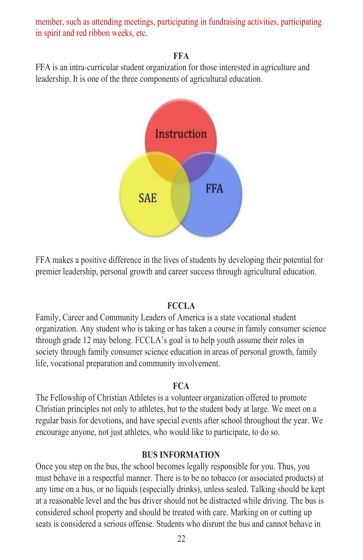member, such as attending meetings, participating in fundraising activities, participating in spirit and red ribbon weeks, etc.

#### **FFA**  $FFA$  is an interested interested in agriculture and  $FFA$

FFA is an intra-curricular student organization for those interested in agriculture and leadership. It is one of the three components of agricultural education.



FFA makes a positive difference in the lives of students by developing their potential for premier leadership, personal growth and career success through agricultural education.

#### **FCCLA**  $FCCLA$

Family, Career and Community Leaders of America is a state vocational student organization. Any student who is taking or has taken a course in family consumer science through grade 12 may belong. FCCLA's goal is to help youth assume their roles in society through family consumer science education in areas of personal growth, family life, vocational preparation and community involvement.

#### **FCA**  $$

The Fellowship of Christian Athletes is a volunteer organization offered to promote Christian principles not only to athletes, but to the student body at large. We meet on a regular basis for devotions, and have special events after school throughout the year. We encourage anyone, not just athletes, who would like to participate, to do so.

#### **BUS INFORMATION**

Once you step on the bus, the school becomes legally responsible for you. Thus, you must behave in a respectful manner. There is to be no tobacco (or associated products) at any time on a bus, or no liquids (especially drinks), unless sealed. Talking should be kept at a reasonable level and the bus driver should not be distracted while driving. The bus is considered school property and should be treated with care. Marking on or cutting up seats is considered a serious offense. Students who disrupt the bus and cannot behave in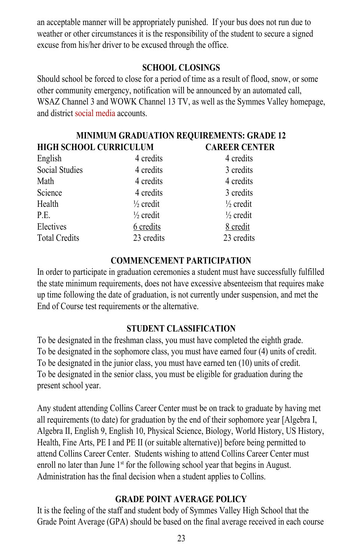an acceptable manner will be appropriately punished. If your bus does not run due to an acceptable manner will be appropriately punished. If your bus does not run due to weather or other circumstances it is the responsibility of the student to secure a signed excuse from his/her driver to be excused through the office. excuse from his/her driver to be excused through the office.

### **SCHOOL CLOSINGS SCHOOL CLOSINGS**

Should school be forced to close for a period of time as a result of flood, snow, or some Should school be forced to close for a period of time as a result of flood, snow, or some other community emergency, notification will be announced by an automated call, other community emergency, notification will be announced by an automated call, WSAZ Channel 3 and WOWK Channel 13 TV, as well as the Symmes Valley homepage, WSAZ Channel 3 and WOWK Channel 13 TV, as well as the Symmes Valley homepage, and district social media accounts. and district social media accounts.

#### **MINIMUM GRADUATION REQUIREMENTS: GRADE 12 MINIMUM GRADUATION REQUIREMENTS: GRADE 12 HIGH SCHOOL CURRICULUM CAREER CENTER HIGH SCHOOL CURRICULUM CAREER CENTER**

| mon senson cennecess |                      |                      |
|----------------------|----------------------|----------------------|
| English              | 4 credits            | 4 credits            |
| Social Studies       | 4 credits            | 3 credits            |
| Math                 | 4 credits            | 4 credits            |
| Science              | 4 credits            | 3 credits            |
| Health               | $\frac{1}{2}$ credit | $\frac{1}{2}$ credit |
| P.E.                 | $\frac{1}{2}$ credit | $\frac{1}{2}$ credit |
| Electives            | 6 credits            | 8 credit             |
| <b>Total Credits</b> | 23 credits           | 23 credits           |
|                      |                      |                      |

#### **COMMENCEMENT PARTICIPATION COMMENCEMENT PARTICIPATION**

In order to participate in graduation ceremonies a student must have successfully fulfilled In order to participate in graduation ceremonies a student must have successfully fulfilled the state minimum requirements, does not have excessive absenteeism that requires make the state minimum requirements, does not have excessive absenteeism that requires make up time following the date of graduation, is not currently under suspension, and met the up time following the date of graduation, is not currently under suspension, and met the End of Course test requirements or the alternative. End of Course test requirements or the alternative.

### **STUDENT CLASSIFICATION STUDENT CLASSIFICATION**

To be designated in the freshman class, you must have completed the eighth grade. To be designated in the freshman class, you must have completed the eighth grade. To be designated in the sophomore class, you must have earned four (4) units of credit. To be designated in the sophomore class, you must have earned four (4) units of credit. To be designated in the junior class, you must have earned ten (10) units of credit. To be designated in the junior class, you must have earned ten (10) units of credit. To be designated in the senior class, you must be eligible for graduation during the To be designated in the senior class, you must be eligible for graduation during the present school year. present school year.

Any student attending Collins Career Center must be on track to graduate by having met Any student attending Collins Career Center must be on track to graduate by having met all requirements (to date) for graduation by the end of their sophomore year [Algebra I, all requirements (to date) for graduation by the end of their sophomore year [Algebra I, Algebra II, English 9, English 10, Physical Science, Biology, World History, US History, Algebra II, English 9, English 10, Physical Science, Biology, World History, US History, Health, Fine Arts, PE I and PE II (or suitable alternative)] before being permitted to Health, Fine Arts, PE I and PE II (or suitable alternative)] before being permitted to attend Collins Career Center. Students wishing to attend Collins Career Center must attend Collins Career Center. Students wishing to attend Collins Career Center must enroll no later than June 1<sup>st</sup> for the following school year that begins in August. Administration has the final decision when a student applies to Collins. Administration has the final decision when a student applies to Collins.

### **GRADE POINT AVERAGE POLICY GRADE POINT AVERAGE POLICY**

It is the feeling of the staff and student body of Symmes Valley High School that the It is the feeling of the staff and student body of Symmes Valley High School that the Grade Point Average (GPA) should be based on the final average received in each course Grade Point Average (GPA) should be based on the final average received in each course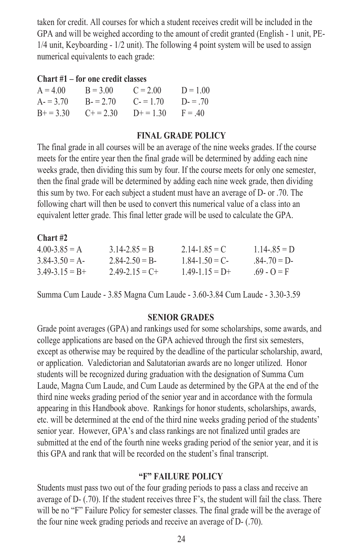taken for credit. All courses for which a student receives credit will be included in the taken for credit. All courses for which a student receives credit will be included in the GPA and will be weighed according to the amount of credit granted (English - 1 unit, PE-GPA and will be weighed according to the amount of credit granted (English - 1 unit, PE-1/4 unit, Keyboarding - 1/2 unit). The following 4 point system will be used to assign 1/4 unit, Keyboarding - 1/2 unit). The following 4 point system will be used to assign numerical equivalents to each grade: numerical equivalents to each grade:

#### **Chart #1 – for one credit classes Chart #1 – for one credit classes**

| $A = 4.00$ | $B = 3.00$ | $C = 2.00$ | $D = 1.00$ |
|------------|------------|------------|------------|
| $A = 3.70$ | $B = 2.70$ | $C = 1.70$ | $D = 70$   |
| $B+=3.30$  | $C + 2.30$ | $D+=130$   | $F = 40$   |

#### **FINAL GRADE POLICY FINAL GRADE POLICY**

The final grade in all courses will be an average of the nine weeks grades. If the course The final grade in all courses will be an average of the nine weeks grades. If the course meets for the entire year then the final grade will be determined by adding each nine meets for the entire year then the final grade will be determined by adding each nine weeks grade, then dividing this sum by four. If the course meets for only one semester, weeks grade, then dividing this sum by four. If the course meets for only one semester, then the final grade will be determined by adding each nine week grade, then dividing then the final grade will be determined by adding each nine week grade, then dividing this sum by two. For each subject a student must have an average of D- or .70. The this sum by two. For each subject a student must have an average of D- or .70. The following chart will then be used to convert this numerical value of a class into an following chart will then be used to convert this numerical value of a class into an equivalent letter grade. This final letter grade will be used to calculate the GPA. equivalent letter grade. This final letter grade will be used to calculate the GPA.

| $Chart$ #2          |                   |                   |                 |
|---------------------|-------------------|-------------------|-----------------|
| $400-385 = A$       | 3 14-2 $85 = B$   | $2.14 - 1.85 = C$ | $1.14 - 85 = D$ |
| $3.84 - 3.50 = A$   | $2.84 - 2.50 = B$ | $1.84 - 1.50 = C$ | $84 - 70 = D$   |
| $3.49 - 3.15 = B +$ | $2,49-2,15=C+$    | $149-115=$ D+     | $69 - Q = F$    |

Summa Cum Laude - 3.85 Magna Cum Laude - 3.60-3.84 Cum Laude - 3.30-3.59 Summa Cum Laude - 3.85 Magna Cum Laude - 3.60-3.84 Cum Laude - 3.30-3.59

#### **SENIOR GRADES SENIOR GRADES**

Grade point averages (GPA) and rankings used for some scholarships, some awards, and Grade point averages (GPA) and rankings used for some scholarships, some awards, and college applications are based on the GPA achieved through the first six semesters, college applications are based on the GPA achieved through the first six semesters, except as otherwise may be required by the deadline of the particular scholarship, award, except as otherwise may be required by the deadline of the particular scholarship, award, or application. Valedictorian and Salutatorian awards are no longer utilized. Honor or application. Valedictorian and Salutatorian awards are no longer utilized. Honor students will be recognized during graduation with the designation of Summa Cum students will be recognized during graduation with the designation of Summa Cum Laude, Magna Cum Laude, and Cum Laude as determined by the GPA at the end of the Laude, Magna Cum Laude, and Cum Laude as determined by the GPA at the end of the third nine weeks grading period of the senior year and in accordance with the formula third nine weeks grading period of the senior year and in accordance with the formula appearing in this Handbook above. Rankings for honor students, scholarships, awards, appearing in this Handbook above. Rankings for honor students, scholarships, awards, etc. will be determined at the end of the third nine weeks grading period of the students' etc. will be determined at the end of the third nine weeks grading period of the students' senior year. However, GPA's and class rankings are not finalized until grades are senior year. However, GPA's and class rankings are not finalized until grades are submitted at the end of the fourth nine weeks grading period of the senior year, and it is this GPA and rank that will be recorded on the student's final transcript. this GPA and rank that will be recorded on the student's final transcript.

#### **"F" FAILURE POLICY "F" FAILURE POLICY**

Students must pass two out of the four grading periods to pass a class and receive an Students must pass two out of the four grading periods to pass a class and receive an average of D- (.70). If the student receives three F's, the student will fail the class. There average of D- (.70). If the student receives three F's, the student will fail the class. There will be no "F" Failure Policy for semester classes. The final grade will be the average of the four nine week grading periods and receive an average of D- (.70). the four nine week grading periods and receive an average of D- (.70).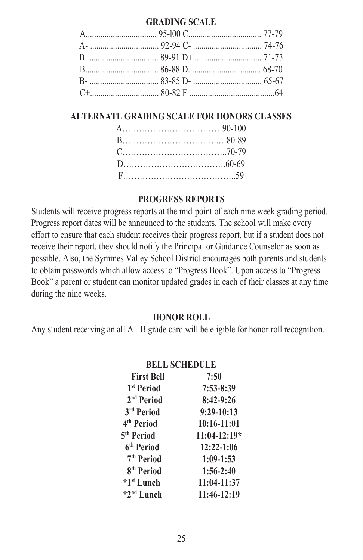#### GRADING SCALE

| A $95-100 \text{ C}$ 77-79 |  |
|----------------------------|--|
|                            |  |
| $R_{+}$ 89-91 D+ 71-73     |  |
| B $86-88$ D $68-70$        |  |
| B- $83-85$ D- $65-67$      |  |
| $C+$ 64                    |  |

#### **ALTERNATE GRADING SCALE FOR HONORS CLASSES**

#### PROGRESS REPORTS

Students will receive progress reports at the mid-point of each nine week grading period. Progress report dates will be announced to the students. The school will make every effort to ensure that each student receives their progress report, but if a student does not receive their report, they should notify the Principal or Guidance Counselor as soon as possible. Also, the Symmes Valley School District encourages both parents and students to obtain passwords which allow access to "Progress Book". Upon access to "Progress Book" a parent or student can monitor updated grades in each of their classes at any time during the nine weeks. **HONOR ROLL**

#### **HONOR ROLL**

Any student receiving an all A - B grade card will be eligible for honor roll recognition.

|                        | <b>BELL SCHEDULE</b> |
|------------------------|----------------------|
| <b>First Bell</b>      | 7:50                 |
| 1 <sup>st</sup> Period | $7:53 - 8:39$        |
| 2 <sup>nd</sup> Period | $8:42-9:26$          |
| 3 <sup>rd</sup> Period | 9:29-10:13           |
| 4 <sup>th</sup> Period | $10:16-11:01$        |
| 5 <sup>th</sup> Period | $11:04-12:19*$       |
| 6 <sup>th</sup> Period | $12:22-1:06$         |
| 7 <sup>th</sup> Period | $1:09-1:53$          |
| 8 <sup>th</sup> Period | $1:56-2:40$          |
| *1 <sup>st</sup> Lunch | 11:04-11:37          |
| *2 <sup>nd</sup> Lunch | 11:46-12:19          |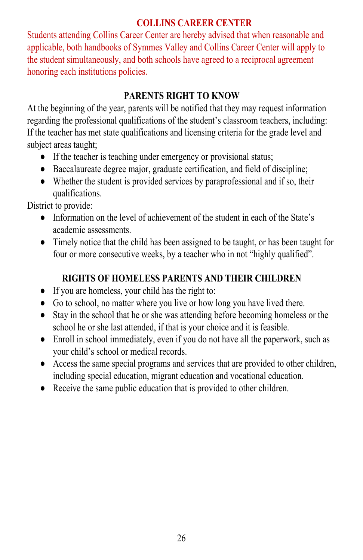#### **COLLINS CAREER CENTER** the student simultaneously, and both schools have agreed to a reciprocal agreement

Students attending Collins Career Center are hereby advised that when reasonable and applicable, both handbooks of Symmes Valley and Collins Career Center will apply to the student simultaneously, and both schools have agreed to a reciprocal agreement honoring each institutions policies. honoring each institutions policies. **PARTIAL STATES VALUE AND COMMISSION** at the beginning of the year of the beginning of the year of the second that they may request in the second th

#### **PARENTS RIGHT TO KNOW**  $\Gamma$  the teacher has met state  $\Gamma$  or the grade level and licensing criteria for the grade level and level and level and level and level and level and level and level and level and level and level and level and level and

At the beginning of the year, parents will be notified that they may request information regarding the professional qualifications of the student's classroom teachers, including: If the teacher has met state qualifications and licensing criteria for the grade level and subject areas taught; subject areas taught;  $\mu$  beginning or the year, parents will be hourded that they may requ  $\frac{1}{2}$  are processional quantications of the student s classiciant reachers, increased arcas taugm,

- If the teacher is teaching under emergency or provisional status;  $\blacksquare$  If the teacher
	- Baccalaureate degree major, graduate certification, and field of discipline;
	- Whether the student is provided services by paraprofessional and if so, their qualifications.  $\frac{1}{2}$

District to provide:

- Information on the level of achievement of the student in each of the State's academic assessments. four or more consecutive weeks, by a teacher who in not  $\alpha$  and  $\alpha$ **RIGHTING OF HOMELESS PARENTS AND THEIR CHILDREN STATES AND THE CHILDREN STATES.**
- Timely notice that the child has been assigned to be taught, or has been taught for four or more consecutive weeks, by a teacher who in not "highly qualified". • I finitely notice that the child has been assigned

#### **RIGHTS OF HOMELESS PARENTS AND THEIR CHILDREN**  $\mathbf{P}$  statistical that  $\mathbf{P}$  is the start  $\mathbf{P}$  in the statistical before before before before before before before before before before before  $\mathbf{P}$ school he or she last attended in the internet in the internet and it is  $\frac{1}{2}$

- If you are homeless, your child has the right to:
- Go to school, no matter where you live or how long you have lived there.  $\bullet$  If you are nonferess, your chird has the right to. You w school, no matter where you live
- Stay in the school that he or she was attending before becoming homeless or the school he or she last attended, if that is your choice and it is feasible.  $\sum_{i=1}^{\infty}$  including special education, migrant education and vocation.
- Enroll in school immediately, even if you do not have all the paperwork, such as your child's school or medical records. **•** Report in school immediately, even if you do not have all the papel w
- Access the same special programs and services that are provided to other children, including special education, migrant education and vocational education.
- Receive the same public education that is provided to other children.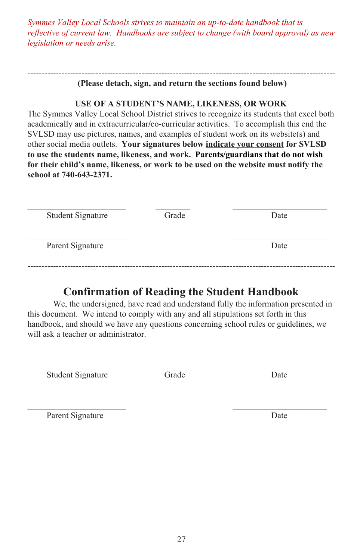*Symmes Valley Local Schools strives to maintain an up-to-date handbook that is reflective of current law. Handbooks are subject to change (with board approval) as new legislation or needs arise.*

#### ------------------------------------------------------------------------------------------------------------ **(Please detach, sign, and return the sections found below)**

*Symmes Valley Local Schools strives to maintain an up-to-date handbook that is*

#### **USE OF A STUDENT'S NAME, LIKENESS, OR WORK**

The Symmes Valley Local School District strives to recognize its students that excel both academically and in extracurricular/co-curricular activities. To accomplish this end the SVLSD may use pictures, names, and examples of student work on its website(s) and other social media outlets. **Your signatures below indicate your consent for SVLSD** to use the students name, likeness, and work. Parents/guardians that do not wish for their child's name, likeness, or work to be used on the website must notify the **school at 740-643-2371.** 

|                          | <b>Student Signature</b> | Grade | Date |
|--------------------------|--------------------------|-------|------|
| Parent Signature<br>Date |                          |       |      |

#### **Confirmation of Reading the Student Handbook** \_\_\_\_\_\_\_\_\_\_\_\_\_\_\_\_\_\_\_\_\_\_\_ \_\_\_\_\_\_\_\_\_\_\_\_\_\_\_\_\_\_\_\_\_\_ Commitment of Reading the Student Handbor

We, the undersigned, have read and understand fully the information presented in this document. We intend to comply with any and all stipulations set forth in this handbook, and should we have any questions concerning school rules or guidelines, we will ask a teacher or administrator.

Student Signature Grade Date

\_\_\_\_\_\_\_\_\_\_\_\_\_\_\_\_\_\_\_\_\_\_\_ \_\_\_\_\_\_\_\_\_\_\_\_\_\_\_\_\_\_\_\_\_\_

Parent Signature Date